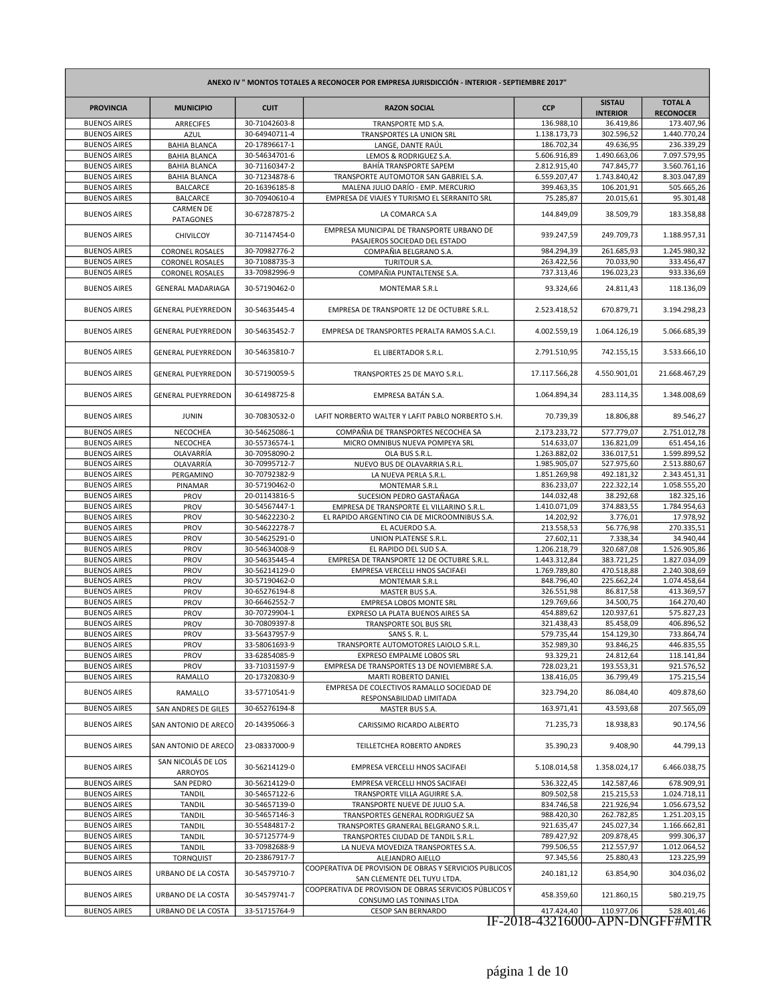| ANEXO IV " MONTOS TOTALES A RECONOCER POR EMPRESA JURISDICCIÓN - INTERIOR - SEPTIEMBRE 2017" |                                             |                                |                                                                                       |                         |                                  |                                    |  |
|----------------------------------------------------------------------------------------------|---------------------------------------------|--------------------------------|---------------------------------------------------------------------------------------|-------------------------|----------------------------------|------------------------------------|--|
| <b>PROVINCIA</b>                                                                             | <b>MUNICIPIO</b>                            | <b>CUIT</b>                    | <b>RAZON SOCIAL</b>                                                                   | <b>CCP</b>              | <b>SISTAU</b><br><b>INTERIOR</b> | <b>TOTAL A</b><br><b>RECONOCER</b> |  |
| <b>BUENOS AIRES</b>                                                                          | <b>ARRECIFES</b>                            | 30-71042603-8                  | TRANSPORTE MD S.A.                                                                    | 136.988,10              | 36.419,86                        | 173.407,96                         |  |
| <b>BUENOS AIRES</b>                                                                          | <b>AZUL</b>                                 | 30-64940711-4                  | TRANSPORTES LA UNION SRL                                                              | 1.138.173,73            | 302.596.52                       | 1.440.770,24                       |  |
| <b>BUENOS AIRES</b>                                                                          | <b>BAHIA BLANCA</b>                         | 20-17896617-1                  | LANGE, DANTE RAÚL                                                                     | 186.702,34              | 49.636,95                        | 236.339,29                         |  |
| <b>BUENOS AIRES</b>                                                                          | <b>BAHIA BLANCA</b>                         | 30-54634701-6                  | LEMOS & RODRIGUEZ S.A.                                                                | 5.606.916,89            | 1.490.663,06                     | 7.097.579,95                       |  |
| <b>BUENOS AIRES</b>                                                                          | <b>BAHIA BLANCA</b>                         | 30-71160347-2                  | BAHÍA TRANSPORTE SAPEM                                                                | 2.812.915,40            | 747.845,77                       | 3.560.761,16                       |  |
| <b>BUENOS AIRES</b>                                                                          | <b>BAHIA BLANCA</b>                         | 30-71234878-6                  | TRANSPORTE AUTOMOTOR SAN GABRIEL S.A.                                                 | 6.559.207,47            | 1.743.840,42                     | 8.303.047,89                       |  |
| <b>BUENOS AIRES</b>                                                                          | <b>BALCARCE</b>                             | 20-16396185-8                  | MALENA JULIO DARÍO - EMP. MERCURIO                                                    | 399.463,35              | 106.201,91                       | 505.665,26                         |  |
| <b>BUENOS AIRES</b>                                                                          | <b>BALCARCE</b>                             | 30-70940610-4                  | EMPRESA DE VIAJES Y TURISMO EL SERRANITO SRL                                          | 75.285,87               | 20.015,61                        | 95.301,48                          |  |
| <b>BUENOS AIRES</b>                                                                          | <b>CARMEN DE</b><br><b>PATAGONES</b>        | 30-67287875-2                  | LA COMARCA S.A                                                                        | 144.849,09              | 38.509,79                        | 183.358,88                         |  |
| <b>BUENOS AIRES</b>                                                                          | CHIVILCOY                                   | 30-71147454-0                  | EMPRESA MUNICIPAL DE TRANSPORTE URBANO DE<br>PASAJEROS SOCIEDAD DEL ESTADO            | 939.247,59              | 249.709,73                       | 1.188.957,31                       |  |
| <b>BUENOS AIRES</b>                                                                          | <b>CORONEL ROSALES</b>                      | 30-70982776-2                  | COMPAÑIA BELGRANO S.A.                                                                | 984.294,39              | 261.685,93                       | 1.245.980,32                       |  |
| <b>BUENOS AIRES</b>                                                                          | <b>CORONEL ROSALES</b>                      | 30-71088735-3                  | <b>TURITOUR S.A.</b>                                                                  | 263.422,56              | 70.033,90                        | 333.456,47                         |  |
| <b>BUENOS AIRES</b>                                                                          | <b>CORONEL ROSALES</b>                      | 33-70982996-9                  | COMPAÑIA PUNTALTENSE S.A.                                                             | 737.313,46              | 196.023,23                       | 933.336,69                         |  |
| <b>BUENOS AIRES</b>                                                                          | <b>GENERAL MADARIAGA</b>                    | 30-57190462-0                  | MONTEMAR S.R.L                                                                        | 93.324,66               | 24.811,43                        | 118.136,09                         |  |
| <b>BUENOS AIRES</b>                                                                          | <b>GENERAL PUEYRREDON</b>                   | 30-54635445-4                  | EMPRESA DE TRANSPORTE 12 DE OCTUBRE S.R.L.                                            | 2.523.418,52            | 670.879,71                       | 3.194.298,23                       |  |
| <b>BUENOS AIRES</b>                                                                          | <b>GENERAL PUEYRREDON</b>                   | 30-54635452-7                  | EMPRESA DE TRANSPORTES PERALTA RAMOS S.A.C.I.                                         | 4.002.559,19            | 1.064.126,19                     | 5.066.685,39                       |  |
| <b>BUENOS AIRES</b>                                                                          | <b>GENERAL PUEYRREDON</b>                   | 30-54635810-7                  | EL LIBERTADOR S.R.L.                                                                  | 2.791.510,95            | 742.155,15                       | 3.533.666,10                       |  |
| <b>BUENOS AIRES</b>                                                                          | <b>GENERAL PUEYRREDON</b>                   | 30-57190059-5                  | TRANSPORTES 25 DE MAYO S.R.L.                                                         | 17.117.566,28           | 4.550.901,01                     | 21.668.467,29                      |  |
| <b>BUENOS AIRES</b>                                                                          | <b>GENERAL PUEYRREDON</b>                   | 30-61498725-8                  | EMPRESA BATÁN S.A.                                                                    | 1.064.894,34            | 283.114,35                       | 1.348.008,69                       |  |
| <b>BUENOS AIRES</b>                                                                          | <b>JUNIN</b>                                | 30-70830532-0                  | LAFIT NORBERTO WALTER Y LAFIT PABLO NORBERTO S.H.                                     | 70.739,39               | 18.806,88                        | 89.546,27                          |  |
| <b>BUENOS AIRES</b>                                                                          | NECOCHEA                                    | 30-54625086-1                  | COMPAÑIA DE TRANSPORTES NECOCHEA SA                                                   | 2.173.233,72            | 577.779,07                       | 2.751.012,78                       |  |
| <b>BUENOS AIRES</b>                                                                          | NECOCHEA                                    | 30-55736574-1                  | MICRO OMNIBUS NUEVA POMPEYA SRL                                                       | 514.633,07              | 136.821,09                       | 651.454,16                         |  |
| <b>BUENOS AIRES</b>                                                                          | OLAVARRÍA                                   | 30-70958090-2                  | OLA BUS S.R.L.                                                                        | 1.263.882,02            | 336.017,51                       | 1.599.899,52                       |  |
| <b>BUENOS AIRES</b>                                                                          | OLAVARRÍA                                   | 30-70995712-7                  | NUEVO BUS DE OLAVARRIA S.R.L.                                                         | 1.985.905,07            | 527.975,60                       | 2.513.880,67                       |  |
| <b>BUENOS AIRES</b>                                                                          | PERGAMINO                                   | 30-70792382-9                  | LA NUEVA PERLA S.R.L.                                                                 | 1.851.269,98            | 492.181,32                       | 2.343.451,31                       |  |
| <b>BUENOS AIRES</b>                                                                          | PINAMAR                                     | 30-57190462-0                  | MONTEMAR S.R.L                                                                        | 836.233,07              | 222.322,14                       | 1.058.555,20                       |  |
| <b>BUENOS AIRES</b>                                                                          | PROV                                        | 20-01143816-5                  | SUCESION PEDRO GASTAÑAGA                                                              | 144.032,48              | 38.292,68                        | 182.325,16                         |  |
| <b>BUENOS AIRES</b>                                                                          | PROV                                        | 30-54567447-1                  | EMPRESA DE TRANSPORTE EL VILLARINO S.R.L.                                             | 1.410.071,09            | 374.883,55                       | 1.784.954,63                       |  |
| <b>BUENOS AIRES</b>                                                                          | PROV                                        | 30-54622230-2                  | EL RAPIDO ARGENTINO CIA DE MICROOMNIBUS S.A.                                          | 14.202,92               | 3.776,01                         | 17.978,92                          |  |
| <b>BUENOS AIRES</b>                                                                          | PROV                                        | 30-54622278-7                  | EL ACUERDO S.A.                                                                       | 213.558,53              | 56.776,98                        | 270.335,51                         |  |
| <b>BUENOS AIRES</b>                                                                          | PROV                                        | 30-54625291-0                  | UNION PLATENSE S.R.L.                                                                 | 27.602,11               | 7.338,34                         | 34.940,44                          |  |
| <b>BUENOS AIRES</b>                                                                          | PROV                                        | 30-54634008-9                  | EL RAPIDO DEL SUD S.A.                                                                | 1.206.218,79            | 320.687,08                       | 1.526.905,86                       |  |
| <b>BUENOS AIRES</b>                                                                          | PROV                                        | 30-54635445-4                  | EMPRESA DE TRANSPORTE 12 DE OCTUBRE S.R.L.                                            | 1.443.312,84            | 383.721,25                       | 1.827.034,09                       |  |
| <b>BUENOS AIRES</b>                                                                          | PROV                                        | 30-56214129-0                  | EMPRESA VERCELLI HNOS SACIFAEI                                                        | 1.769.789,80            | 470.518,88                       | 2.240.308,69                       |  |
| <b>BUENOS AIRES</b>                                                                          | PROV                                        | 30-57190462-0                  | MONTEMAR S.R.L                                                                        | 848.796,40              | 225.662,24                       | 1.074.458,64                       |  |
| <b>BUENOS AIRES</b>                                                                          | PROV                                        | 30-65276194-8                  | MASTER BUS S.A.                                                                       | 326.551,98              | 86.817,58                        | 413.369,57                         |  |
| <b>BUENOS AIRES</b>                                                                          | PROV                                        | 30-66462552-7                  | EMPRESA LOBOS MONTE SRL                                                               | 129.769,66              | 34.500,75                        | 164.270,40                         |  |
| <b>BUENOS AIRES</b>                                                                          | PROV                                        | 30-70729904-1                  | EXPRESO LA PLATA BUENOS AIRES SA                                                      | 454.889,62              | 120.937,61                       | 575.827,23                         |  |
| <b>BUENOS AIRES</b>                                                                          | PROV                                        | 30-70809397-8                  | TRANSPORTE SOL BUS SRL                                                                | 321.438,43              | 85.458,09                        | 406.896,52                         |  |
| <b>BUENOS AIRES</b>                                                                          | PROV                                        | 33-56437957-9                  | SANS S. R. L.                                                                         | 579.735,44              | 154.129,30                       | 733.864,74                         |  |
| <b>BUENOS AIRES</b>                                                                          | <b>PROV</b>                                 | 33-58061693-9                  | TRANSPORTE AUTOMOTORES LAIOLO S.R.L.                                                  | 352.989,30              | 93.846,25                        | 446.835,55                         |  |
| <b>BUENOS AIRES</b>                                                                          | PROV                                        | 33-62854085-9                  | EXPRESO EMPALME LOBOS SRL                                                             | 93.329,21               | 24.812,64                        | 118.141,84                         |  |
| <b>BUENOS AIRES</b>                                                                          | PROV                                        | 33-71031597-9                  | EMPRESA DE TRANSPORTES 13 DE NOVIEMBRE S.A.                                           | 728.023,21              | 193.553,31                       | 921.576,52                         |  |
| <b>BUENOS AIRES</b>                                                                          | RAMALLO                                     | 20-17320830-9                  | MARTI ROBERTO DANIEL                                                                  | 138.416,05              | 36.799,49                        | 175.215,54                         |  |
| <b>BUENOS AIRES</b>                                                                          | RAMALLO                                     | 33-57710541-9                  | EMPRESA DE COLECTIVOS RAMALLO SOCIEDAD DE<br>RESPONSABILIDAD LIMITADA                 | 323.794,20              | 86.084,40                        | 409.878,60                         |  |
| <b>BUENOS AIRES</b><br><b>BUENOS AIRES</b>                                                   | SAN ANDRES DE GILES<br>SAN ANTONIO DE ARECO | 30-65276194-8<br>20-14395066-3 | MASTER BUS S.A.<br>CARISSIMO RICARDO ALBERTO                                          | 163.971,41<br>71.235,73 | 43.593,68<br>18.938,83           | 207.565,09<br>90.174,56            |  |
| <b>BUENOS AIRES</b>                                                                          | SAN ANTONIO DE ARECO                        | 23-08337000-9                  | TEILLETCHEA ROBERTO ANDRES                                                            | 35.390,23               | 9.408,90                         | 44.799,13                          |  |
| <b>BUENOS AIRES</b>                                                                          | SAN NICOLÁS DE LOS                          | 30-56214129-0                  | EMPRESA VERCELLI HNOS SACIFAEI                                                        | 5.108.014,58            | 1.358.024,17                     | 6.466.038,75                       |  |
| <b>BUENOS AIRES</b>                                                                          | ARROYOS<br>SAN PEDRO                        | 30-56214129-0                  | EMPRESA VERCELLI HNOS SACIFAEI                                                        | 536.322,45              | 142.587,46                       | 678.909,91                         |  |
| <b>BUENOS AIRES</b>                                                                          | <b>TANDIL</b>                               | 30-54657122-6                  | TRANSPORTE VILLA AGUIRRE S.A.                                                         | 809.502,58              | 215.215,53                       | 1.024.718,11                       |  |
| <b>BUENOS AIRES</b>                                                                          | <b>TANDIL</b>                               | 30-54657139-0                  | TRANSPORTE NUEVE DE JULIO S.A.                                                        | 834.746,58              | 221.926,94                       | 1.056.673,52                       |  |
| <b>BUENOS AIRES</b>                                                                          | <b>TANDIL</b>                               | 30-54657146-3                  | TRANSPORTES GENERAL RODRIGUEZ SA                                                      | 988.420,30              | 262.782,85                       | 1.251.203,15                       |  |
| <b>BUENOS AIRES</b>                                                                          | <b>TANDIL</b>                               | 30-55484817-2                  | TRANSPORTES GRANERAL BELGRANO S.R.L.                                                  | 921.635,47              | 245.027,34                       | 1.166.662,81                       |  |
| <b>BUENOS AIRES</b>                                                                          | <b>TANDIL</b>                               | 30-57125774-9                  | TRANSPORTES CIUDAD DE TANDIL S.R.L.                                                   | 789.427,92              | 209.878,45                       | 999.306,37                         |  |
| <b>BUENOS AIRES</b>                                                                          | <b>TANDIL</b>                               | 33-70982688-9                  | LA NUEVA MOVEDIZA TRANSPORTES S.A.                                                    | 799.506,55              | 212.557,97                       | 1.012.064,52                       |  |
| <b>BUENOS AIRES</b>                                                                          | <b>TORNQUIST</b>                            | 20-23867917-7                  | ALEJANDRO AIELLO                                                                      | 97.345,56               | 25.880,43                        | 123.225,99                         |  |
| <b>BUENOS AIRES</b>                                                                          | URBANO DE LA COSTA                          | 30-54579710-7                  | COOPERATIVA DE PROVISION DE OBRAS Y SERVICIOS PUBLICOS<br>SAN CLEMENTE DEL TUYU LTDA. | 240.181,12              | 63.854,90                        | 304.036,02                         |  |
| <b>BUENOS AIRES</b>                                                                          | URBANO DE LA COSTA                          | 30-54579741-7                  | COOPERATIVA DE PROVISION DE OBRAS SERVICIOS PÚBLICOS Y<br>CONSUMO LAS TONINAS LTDA    | 458.359,60              | 121.860,15                       | 580.219,75                         |  |
| <b>BUENOS AIRES</b>                                                                          | URBANO DE LA COSTA                          | 33-51715764-9                  | <b>CESOP SAN BERNARDO</b>                                                             | 417.424,40              | 110.977,06                       | 528.401,46                         |  |

IF-2018-43216000-APN-DNGFF#MTR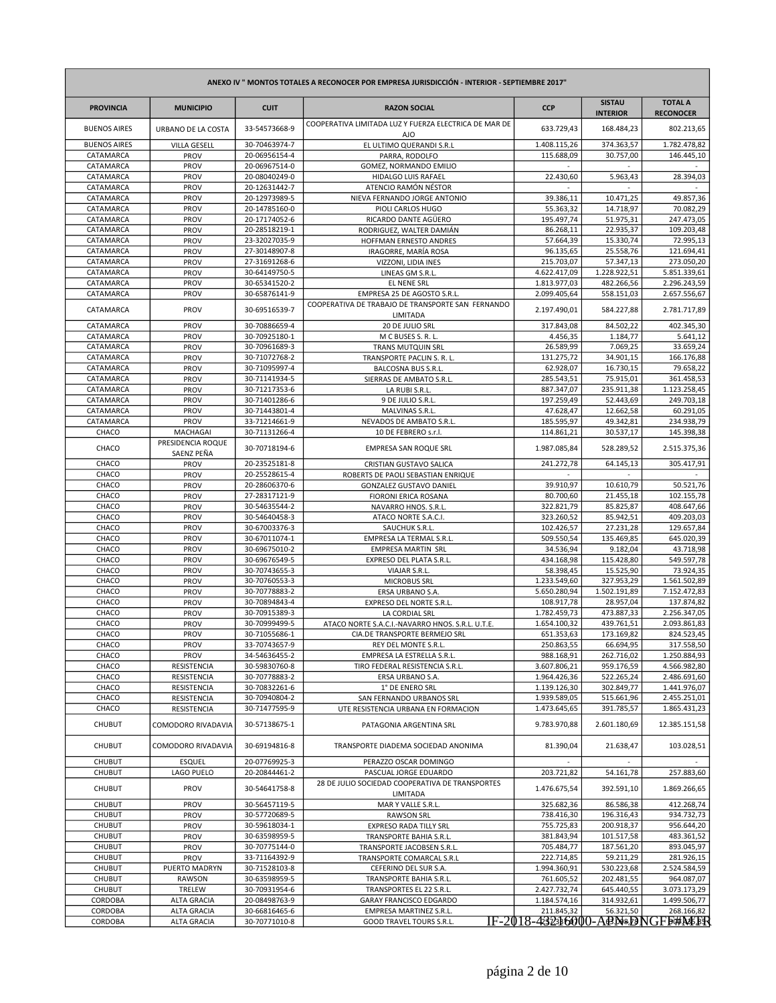| ANEXO IV " MONTOS TOTALES A RECONOCER POR EMPRESA JURISDICCIÓN - INTERIOR - SEPTIEMBRE 2017" |                                          |                                |                                                              |                              |                                  |                                    |  |
|----------------------------------------------------------------------------------------------|------------------------------------------|--------------------------------|--------------------------------------------------------------|------------------------------|----------------------------------|------------------------------------|--|
| <b>PROVINCIA</b>                                                                             | <b>MUNICIPIO</b>                         | <b>CUIT</b>                    | <b>RAZON SOCIAL</b>                                          | <b>CCP</b>                   | <b>SISTAU</b><br><b>INTERIOR</b> | <b>TOTAL A</b><br><b>RECONOCER</b> |  |
| <b>BUENOS AIRES</b>                                                                          | URBANO DE LA COSTA                       | 33-54573668-9                  | COOPERATIVA LIMITADA LUZ Y FUERZA ELECTRICA DE MAR DE<br>AJO | 633.729,43                   | 168.484,23                       | 802.213,65                         |  |
| <b>BUENOS AIRES</b>                                                                          | <b>VILLA GESELL</b>                      | 30-70463974-7                  | EL ULTIMO QUERANDI S.R.L                                     | 1.408.115,26                 | 374.363,57                       | 1.782.478,82                       |  |
| CATAMARCA                                                                                    | PROV                                     | 20-06956154-4                  | PARRA, RODOLFO                                               | 115.688,09                   | 30.757,00                        | 146.445,10                         |  |
| CATAMARCA                                                                                    | PROV                                     | 20-06967514-0                  | GOMEZ, NORMANDO EMILIO                                       |                              |                                  |                                    |  |
| CATAMARCA                                                                                    | PROV                                     | 20-08040249-0                  | HIDALGO LUIS RAFAEL                                          | 22.430,60                    | 5.963,43                         | 28.394,03                          |  |
| CATAMARCA                                                                                    | PROV                                     | 20-12631442-7                  | ATENCIO RAMÓN NÉSTOR                                         |                              |                                  |                                    |  |
| CATAMARCA                                                                                    | PROV                                     | 20-12973989-5                  | NIEVA FERNANDO JORGE ANTONIO                                 | 39.386,11                    | 10.471,25                        | 49.857,36                          |  |
| CATAMARCA                                                                                    | PROV                                     | 20-14785160-0                  | PIOLI CARLOS HUGO                                            | 55.363,32                    | 14.718,97                        | 70.082,29                          |  |
| CATAMARCA<br>CATAMARCA                                                                       | PROV                                     | 20-17174052-6<br>20-28518219-1 | RICARDO DANTE AGÜERO                                         | 195.497,74                   | 51.975,31<br>22.935,37           | 247.473,05<br>109.203,48           |  |
| CATAMARCA                                                                                    | PROV<br>PROV                             | 23-32027035-9                  | RODRIGUEZ, WALTER DAMIÁN<br>HOFFMAN ERNESTO ANDRES           | 86.268,11<br>57.664,39       | 15.330,74                        | 72.995,13                          |  |
| CATAMARCA                                                                                    | PROV                                     | 27-30148907-8                  | IRAGORRE, MARÍA ROSA                                         | 96.135,65                    | 25.558,76                        | 121.694,41                         |  |
| CATAMARCA                                                                                    | PROV                                     | 27-31691268-6                  | VIZZONI, LIDIA INES                                          | 215.703,07                   | 57.347,13                        | 273.050,20                         |  |
| CATAMARCA                                                                                    | PROV                                     | 30-64149750-5                  | LINEAS GM S.R.L                                              | 4.622.417,09                 | 1.228.922,51                     | 5.851.339,61                       |  |
| CATAMARCA                                                                                    | PROV                                     | 30-65341520-2                  | EL NENE SRL                                                  | 1.813.977,03                 | 482.266,56                       | 2.296.243,59                       |  |
| CATAMARCA                                                                                    | PROV                                     | 30-65876141-9                  | EMPRESA 25 DE AGOSTO S.R.L.                                  | 2.099.405,64                 | 558.151,03                       | 2.657.556,67                       |  |
| CATAMARCA                                                                                    | PROV                                     | 30-69516539-7                  | COOPERATIVA DE TRABAJO DE TRANSPORTE SAN FERNANDO            | 2.197.490,01                 | 584.227,88                       | 2.781.717,89                       |  |
| CATAMARCA                                                                                    | PROV                                     | 30-70886659-4                  | <b>LIMITADA</b><br>20 DE JULIO SRL                           | 317.843,08                   | 84.502,22                        | 402.345,30                         |  |
| CATAMARCA                                                                                    | PROV                                     | 30-70925180-1                  | M C BUSES S. R. L                                            | 4.456,35                     | 1.184,77                         | 5.641,12                           |  |
| CATAMARCA                                                                                    | PROV                                     | 30-70961689-3                  | <b>TRANS MUTQUIN SRL</b>                                     | 26.589,99                    | 7.069,25                         | 33.659,24                          |  |
| CATAMARCA                                                                                    | PROV                                     | 30-71072768-2                  | TRANSPORTE PACLIN S. R. L.                                   | 131.275,72                   | 34.901,15                        | 166.176,88                         |  |
| CATAMARCA                                                                                    | PROV                                     | 30-71095997-4                  | <b>BALCOSNA BUS S.R.L.</b>                                   | 62.928,07                    | 16.730,15                        | 79.658,22                          |  |
| CATAMARCA                                                                                    | PROV                                     | 30-71141934-5                  | SIERRAS DE AMBATO S.R.L.                                     | 285.543,51                   | 75.915,01                        | 361.458,53                         |  |
| CATAMARCA                                                                                    | PROV                                     | 30-71217353-6                  | LA RUBI S.R.L.                                               | 887.347,07                   | 235.911,38                       | 1.123.258,45                       |  |
| CATAMARCA                                                                                    | PROV                                     | 30-71401286-6                  | 9 DE JULIO S.R.L.                                            | 197.259,49                   | 52.443,69                        | 249.703,18                         |  |
| CATAMARCA                                                                                    | PROV                                     | 30-71443801-4                  | MALVINAS S.R.L.                                              | 47.628,47                    | 12.662,58                        | 60.291,05                          |  |
| CATAMARCA                                                                                    | PROV                                     | 33-71214661-9                  | NEVADOS DE AMBATO S.R.L.                                     | 185.595,97                   | 49.342,81                        | 234.938,79                         |  |
| CHACO                                                                                        | MACHAGAI<br>PRESIDENCIA ROQUE            | 30-71131266-4                  | 10 DE FEBRERO s.r.l.                                         | 114.861,21                   | 30.537,17                        | 145.398,38                         |  |
| CHACO                                                                                        | SAENZ PEÑA                               | 30-70718194-6                  | <b>EMPRESA SAN ROQUE SRL</b>                                 | 1.987.085,84                 | 528.289,52                       | 2.515.375,36                       |  |
| CHACO                                                                                        | PROV                                     | 20-23525181-8                  | CRISTIAN GUSTAVO SALICA                                      | 241.272,78                   | 64.145,13                        | 305.417,91                         |  |
| CHACO                                                                                        | PROV                                     | 20-25528615-4                  | ROBERTS DE PAOLI SEBASTIAN ENRIQUE                           |                              |                                  |                                    |  |
| CHACO                                                                                        | PROV                                     | 20-28606370-6                  | GONZALEZ GUSTAVO DANIEL                                      | 39.910,97                    | 10.610,79                        | 50.521,76                          |  |
| CHACO                                                                                        | PROV                                     | 27-28317121-9                  | FIORONI ERICA ROSANA                                         | 80.700,60                    | 21.455,18                        | 102.155,78                         |  |
| CHACO<br>CHACO                                                                               | PROV<br>PROV                             | 30-54635544-2<br>30-54640458-3 | NAVARRO HNOS. S.R.L.                                         | 322.821,79                   | 85.825,87<br>85.942,51           | 408.647,66<br>409.203,03           |  |
| CHACO                                                                                        | PROV                                     | 30-67003376-3                  | ATACO NORTE S.A.C.I.<br>SAUCHUK S.R.L                        | 323.260,52<br>102.426,57     | 27.231,28                        | 129.657,84                         |  |
| CHACO                                                                                        | PROV                                     | 30-67011074-1                  | EMPRESA LA TERMAL S.R.L.                                     | 509.550,54                   | 135.469,85                       | 645.020,39                         |  |
| CHACO                                                                                        | PROV                                     | 30-69675010-2                  | <b>EMPRESA MARTIN SRL</b>                                    | 34.536,94                    | 9.182,04                         | 43.718,98                          |  |
| CHACO                                                                                        | PROV                                     | 30-69676549-5                  | EXPRESO DEL PLATA S.R.L.                                     | 434.168,98                   | 115.428,80                       | 549.597,78                         |  |
| CHACO                                                                                        | PROV                                     | 30-70743655-3                  | VIAJAR S.R.L                                                 | 58.398,45                    | 15.525,90                        | 73.924,35                          |  |
| CHACO                                                                                        | PROV                                     | 30-70760553-3                  | <b>MICROBUS SRL</b>                                          | 1.233.549,60                 | 327.953,29                       | 1.561.502,89                       |  |
| CHACO                                                                                        | PROV                                     | 30-70778883-2                  | ERSA URBANO S.A.                                             | 5.650.280,94                 | 1.502.191,89                     | 7.152.472,83                       |  |
| CHACO                                                                                        | PROV                                     | 30-70894843-4                  | EXPRESO DEL NORTE S.R.L.                                     | 108.917,78                   | 28.957,04                        | 137.874,82                         |  |
| CHACO                                                                                        | PROV                                     | 30-70915389-3                  | LA CORDIAL SRL                                               | 1.782.459,73                 | 473.887,33                       | 2.256.347,05                       |  |
| CHACO                                                                                        | PROV                                     | 30-70999499-5                  | ATACO NORTE S.A.C.I.-NAVARRO HNOS. S.R.L. U.T.E.             | 1.654.100,32                 | 439.761,51                       | 2.093.861,83                       |  |
| CHACO                                                                                        | PROV                                     | 30-71055686-1                  | CIA.DE TRANSPORTE BERMEJO SRL                                | 651.353,63                   | 173.169,82                       | 824.523,45                         |  |
| CHACO                                                                                        | PROV                                     | 33-70743657-9                  | REY DEL MONTE S.R.L.                                         | 250.863,55                   | 66.694,95                        | 317.558,50                         |  |
| CHACO                                                                                        | PROV                                     | 34-54636455-2                  | EMPRESA LA ESTRELLA S.R.L.                                   | 988.168,91                   | 262.716,02                       | 1.250.884,93                       |  |
| CHACO                                                                                        | <b>RESISTENCIA</b><br><b>RESISTENCIA</b> | 30-59830760-8                  | TIRO FEDERAL RESISTENCIA S.R.L.                              | 3.607.806,21                 | 959.176,59                       | 4.566.982,80<br>2.486.691,60       |  |
| CHACO<br>CHACO                                                                               | RESISTENCIA                              | 30-70778883-2<br>30-70832261-6 | ERSA URBANO S.A.<br>1° DE ENERO SRL                          | 1.964.426,36<br>1.139.126,30 | 522.265,24<br>302.849,77         | 1.441.976,07                       |  |
| CHACO                                                                                        | RESISTENCIA                              | 30-70940804-2                  | SAN FERNANDO URBANOS SRL                                     | 1.939.589,05                 | 515.661,96                       | 2.455.251,01                       |  |
| CHACO                                                                                        | RESISTENCIA                              | 30-71477595-9                  | UTE RESISTENCIA URBANA EN FORMACION                          | 1.473.645,65                 | 391.785,57                       | 1.865.431,23                       |  |
| <b>CHUBUT</b>                                                                                | COMODORO RIVADAVIA                       | 30-57138675-1                  | PATAGONIA ARGENTINA SRL                                      | 9.783.970,88                 | 2.601.180,69                     | 12.385.151,58                      |  |
| <b>CHUBUT</b>                                                                                | COMODORO RIVADAVIA                       | 30-69194816-8                  | TRANSPORTE DIADEMA SOCIEDAD ANONIMA                          | 81.390,04                    | 21.638,47                        | 103.028,51                         |  |
| <b>CHUBUT</b><br><b>CHUBUT</b>                                                               | <b>ESQUEL</b>                            | 20-07769925-3<br>20-20844461-2 | PERAZZO OSCAR DOMINGO                                        | 203.721,82                   |                                  |                                    |  |
|                                                                                              | LAGO PUELO                               |                                | PASCUAL JORGE EDUARDO                                        |                              | 54.161,78                        | 257.883,60                         |  |
| <b>CHUBUT</b>                                                                                | PROV                                     | 30-54641758-8                  | 28 DE JULIO SOCIEDAD COOPERATIVA DE TRANSPORTES<br>LIMITADA  | 1.476.675,54                 | 392.591,10                       | 1.869.266,65                       |  |
| <b>CHUBUT</b>                                                                                | PROV                                     | 30-56457119-5                  | MAR Y VALLE S.R.L.                                           | 325.682,36                   | 86.586,38                        | 412.268,74                         |  |
| <b>CHUBUT</b>                                                                                | PROV                                     | 30-57720689-5                  | <b>RAWSON SRL</b>                                            | 738.416,30                   | 196.316,43                       | 934.732,73                         |  |
| <b>CHUBUT</b>                                                                                | PROV                                     | 30-59618034-1                  | EXPRESO RADA TILLY SRL                                       | 755.725,83                   | 200.918,37                       | 956.644,20                         |  |
| <b>CHUBUT</b>                                                                                | PROV                                     | 30-63598959-5                  | TRANSPORTE BAHIA S.R.L.                                      | 381.843,94                   | 101.517,58                       | 483.361,52                         |  |
| <b>CHUBUT</b>                                                                                | PROV                                     | 30-70775144-0                  | TRANSPORTE JACOBSEN S.R.L.                                   | 705.484,77                   | 187.561,20                       | 893.045,97                         |  |
| <b>CHUBUT</b>                                                                                | PROV                                     | 33-71164392-9                  | TRANSPORTE COMARCAL S.R.L                                    | 222.714,85                   | 59.211,29                        | 281.926,15                         |  |
| <b>CHUBUT</b><br><b>CHUBUT</b>                                                               | PUERTO MADRYN                            | 30-71528103-8<br>30-63598959-5 | CEFERINO DEL SUR S.A.                                        | 1.994.360,91<br>761.605,52   | 530.223,68<br>202.481,55         | 2.524.584,59<br>964.087,07         |  |
| <b>CHUBUT</b>                                                                                | RAWSON<br>TRELEW                         | 30-70931954-6                  | TRANSPORTE BAHIA S.R.L.<br>TRANSPORTES EL 22 S.R.L.          | 2.427.732,74                 | 645.440,55                       | 3.073.173,29                       |  |
| CORDOBA                                                                                      | <b>ALTA GRACIA</b>                       | 20-08498763-9                  | GARAY FRANCISCO EDGARDO                                      | 1.184.574,16                 | 314.932,61                       | 1.499.506,77                       |  |
| CORDOBA                                                                                      | <b>ALTA GRACIA</b>                       | 30-66816465-6                  | EMPRESA MARTINEZ S.R.L.                                      | 211.845,32                   | 56.321,50                        | 268.166,82                         |  |
| CORDOBA                                                                                      | <b>ALTA GRACIA</b>                       | 30-70771010-8                  | GOOD TRAVEL TOURS S.R.L                                      |                              |                                  | IF-2018-4323b60100-ABN8.DNGFB#MBBR |  |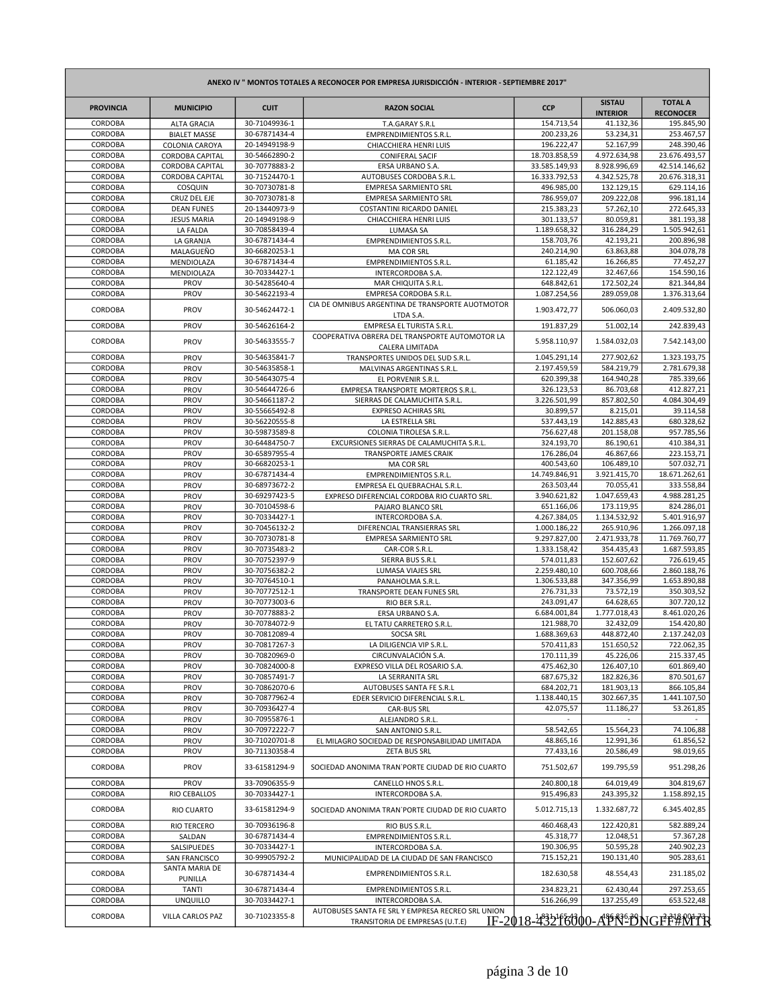| ANEXO IV " MONTOS TOTALES A RECONOCER POR EMPRESA JURISDICCIÓN - INTERIOR - SEPTIEMBRE 2017" |                                       |                                |                                                                   |                              |                                  |                                    |
|----------------------------------------------------------------------------------------------|---------------------------------------|--------------------------------|-------------------------------------------------------------------|------------------------------|----------------------------------|------------------------------------|
| <b>PROVINCIA</b>                                                                             | <b>MUNICIPIO</b>                      | <b>CUIT</b>                    | <b>RAZON SOCIAL</b>                                               | <b>CCP</b>                   | <b>SISTAU</b><br><b>INTERIOR</b> | <b>TOTAL A</b><br><b>RECONOCER</b> |
| CORDOBA                                                                                      | <b>ALTA GRACIA</b>                    | 30-71049936-1                  | T.A.GARAY S.R.L                                                   | 154.713,54                   | 41.132,36                        | 195.845,90                         |
| CORDOBA<br>CORDOBA                                                                           | <b>BIALET MASSE</b><br>COLONIA CAROYA | 30-67871434-4<br>20-14949198-9 | <b>EMPRENDIMIENTOS S.R.L.</b><br>CHIACCHIERA HENRI LUIS           | 200.233,26<br>196.222,47     | 53.234,31<br>52.167,99           | 253.467,57<br>248.390,46           |
| CORDOBA                                                                                      | CORDOBA CAPITAL                       | 30-54662890-2                  | <b>CONIFERAL SACIF</b>                                            | 18.703.858,59                | 4.972.634,98                     | 23.676.493,57                      |
| CORDOBA                                                                                      | CORDOBA CAPITAL                       | 30-70778883-2                  | ERSA URBANO S.A.                                                  | 33.585.149,93                | 8.928.996,69                     | 42.514.146,62                      |
| CORDOBA                                                                                      | CORDOBA CAPITAL                       | 30-71524470-1                  | AUTOBUSES CORDOBA S.R.L.                                          | 16.333.792,53                | 4.342.525,78                     | 20.676.318,31                      |
| CORDOBA                                                                                      | COSQUIN                               | 30-70730781-8                  | <b>EMPRESA SARMIENTO SRL</b>                                      | 496.985,00                   | 132.129,15                       | 629.114,16                         |
| CORDOBA                                                                                      | CRUZ DEL EJE                          | 30-70730781-8                  | <b>EMPRESA SARMIENTO SRL</b>                                      | 786.959,07                   | 209.222,08                       | 996.181,14                         |
| CORDOBA                                                                                      | <b>DEAN FUNES</b>                     | 20-13440973-9                  | COSTANTINI RICARDO DANIEL                                         | 215.383,23                   | 57.262,10                        | 272.645,33                         |
| CORDOBA<br>CORDOBA                                                                           | <b>JESUS MARIA</b><br>LA FALDA        | 20-14949198-9<br>30-70858439-4 | CHIACCHIERA HENRI LUIS<br>LUMASA SA                               | 301.133,57<br>1.189.658,32   | 80.059,81<br>316.284,29          | 381.193,38<br>1.505.942,61         |
| CORDOBA                                                                                      | LA GRANJA                             | 30-67871434-4                  | <b>EMPRENDIMIENTOS S.R.L.</b>                                     | 158.703,76                   | 42.193,21                        | 200.896,98                         |
| CORDOBA                                                                                      | MALAGUEÑO                             | 30-66820253-1                  | MA COR SRL                                                        | 240.214,90                   | 63.863,88                        | 304.078,78                         |
| CORDOBA                                                                                      | MENDIOLAZA                            | 30-67871434-4                  | <b>EMPRENDIMIENTOS S.R.L.</b>                                     | 61.185,42                    | 16.266,85                        | 77.452,27                          |
| CORDOBA                                                                                      | MENDIOLAZA                            | 30-70334427-1                  | <b>INTERCORDOBA S.A.</b>                                          | 122.122,49                   | 32.467,66                        | 154.590,16                         |
| CORDOBA                                                                                      | PROV                                  | 30-54285640-4                  | MAR CHIQUITA S.R.L.                                               | 648.842,61                   | 172.502,24                       | 821.344,84                         |
| CORDOBA                                                                                      | PROV                                  | 30-54622193-4                  | EMPRESA CORDOBA S.R.L.                                            | 1.087.254,56                 | 289.059,08                       | 1.376.313,64                       |
| CORDOBA                                                                                      | PROV                                  | 30-54624472-1                  | CIA DE OMNIBUS ARGENTINA DE TRANSPORTE AUOTMOTOR<br>LTDA S.A.     | 1.903.472,77                 | 506.060,03                       | 2.409.532,80                       |
| CORDOBA                                                                                      | PROV                                  | 30-54626164-2                  | EMPRESA EL TURISTA S.R.L.                                         | 191.837,29                   | 51.002,14                        | 242.839,43                         |
| CORDOBA                                                                                      | PROV                                  | 30-54633555-7                  | COOPERATIVA OBRERA DEL TRANSPORTE AUTOMOTOR LA<br>CALERA LIMITADA | 5.958.110,97                 | 1.584.032,03                     | 7.542.143,00                       |
| CORDOBA                                                                                      | PROV                                  | 30-54635841-7                  | TRANSPORTES UNIDOS DEL SUD S.R.L.                                 | 1.045.291,14                 | 277.902,62                       | 1.323.193,75                       |
| CORDOBA<br>CORDOBA                                                                           | PROV                                  | 30-54635858-1                  | MALVINAS ARGENTINAS S.R.L.                                        | 2.197.459,59                 | 584.219,79                       | 2.781.679,38                       |
| CORDOBA                                                                                      | PROV<br>PROV                          | 30-54643075-4<br>30-54644726-6 | EL PORVENIR S.R.L.<br>EMPRESA TRANSPORTE MORTEROS S.R.L.          | 620.399,38<br>326.123,53     | 164.940,28<br>86.703,68          | 785.339,66<br>412.827,21           |
| CORDOBA                                                                                      | PROV                                  | 30-54661187-2                  | SIERRAS DE CALAMUCHITA S.R.L.                                     | 3.226.501,99                 | 857.802,50                       | 4.084.304,49                       |
| CORDOBA                                                                                      | PROV                                  | 30-55665492-8                  | <b>EXPRESO ACHIRAS SRL</b>                                        | 30.899,57                    | 8.215,01                         | 39.114,58                          |
| CORDOBA                                                                                      | PROV                                  | 30-56220555-8                  | LA ESTRELLA SRL                                                   | 537.443,19                   | 142.885,43                       | 680.328,62                         |
| CORDOBA                                                                                      | PROV                                  | 30-59873589-8                  | COLONIA TIROLESA S.R.L.                                           | 756.627,48                   | 201.158,08                       | 957.785,56                         |
| CORDOBA                                                                                      | PROV                                  | 30-64484750-7                  | EXCURSIONES SIERRAS DE CALAMUCHITA S.R.L.                         | 324.193,70                   | 86.190,61                        | 410.384,31                         |
| CORDOBA                                                                                      | PROV<br>PROV                          | 30-65897955-4                  | <b>TRANSPORTE JAMES CRAIK</b>                                     | 176.286,04                   | 46.867,66                        | 223.153,71                         |
| CORDOBA<br>CORDOBA                                                                           | PROV                                  | 30-66820253-1<br>30-67871434-4 | MA COR SRL<br><b>EMPRENDIMIENTOS S.R.L.</b>                       | 400.543,60<br>14.749.846,91  | 106.489,10<br>3.921.415,70       | 507.032,71<br>18.671.262,61        |
| CORDOBA                                                                                      | PROV                                  | 30-68973672-2                  | EMPRESA EL QUEBRACHAL S.R.L.                                      | 263.503,44                   | 70.055,41                        | 333.558,84                         |
| CORDOBA                                                                                      | PROV                                  | 30-69297423-5                  | EXPRESO DIFERENCIAL CORDOBA RIO CUARTO SRL.                       | 3.940.621,82                 | 1.047.659,43                     | 4.988.281,25                       |
| CORDOBA                                                                                      | PROV                                  | 30-70104598-6                  | PAJARO BLANCO SRL                                                 | 651.166,06                   | 173.119,95                       | 824.286,01                         |
| CORDOBA                                                                                      | PROV                                  | 30-70334427-1                  | <b>INTERCORDOBA S.A.</b>                                          | 4.267.384,05                 | 1.134.532,92                     | 5.401.916,97                       |
| CORDOBA                                                                                      | PROV                                  | 30-70456132-2                  | DIFERENCIAL TRANSIERRAS SRL                                       | 1.000.186,22                 | 265.910,96                       | 1.266.097,18                       |
| CORDOBA<br>CORDOBA                                                                           | PROV<br>PROV                          | 30-70730781-8<br>30-70735483-2 | <b>EMPRESA SARMIENTO SRL</b>                                      | 9.297.827,00<br>1.333.158,42 | 2.471.933,78<br>354.435,43       | 11.769.760,77<br>1.687.593,85      |
| CORDOBA                                                                                      | PROV                                  | 30-70752397-9                  | CAR-COR S.R.L.<br>SIERRA BUS S.R.L                                | 574.011,83                   | 152.607,62                       | 726.619,45                         |
| CORDOBA                                                                                      | PROV                                  | 30-70756382-2                  | <b>LUMASA VIAJES SRL</b>                                          | 2.259.480,10                 | 600.708,66                       | 2.860.188,76                       |
| CORDOBA                                                                                      | PROV                                  | 30-70764510-1                  | PANAHOLMA S.R.L.                                                  | 1.306.533,88                 | 347.356,99                       | 1.653.890,88                       |
| CORDOBA                                                                                      | PROV                                  | 30-70772512-1                  | TRANSPORTE DEAN FUNES SRL                                         | 276.731,33                   | 73.572,19                        | 350.303,52                         |
| CORDOBA                                                                                      | PROV                                  | 30-70773003-6                  | RIO BER S.R.L.                                                    | 243.091,47                   | 64.628,65                        | 307.720,12                         |
| CORDOBA                                                                                      | PROV                                  | 30-70778883-2                  | ERSA URBANO S.A.                                                  | 6.684.001,84                 | 1.777.018,43                     | 8.461.020,26                       |
| CORDOBA<br>CORDOBA                                                                           | PROV<br>PROV                          | 30-70784072-9<br>30-70812089-4 | EL TATU CARRETERO S.R.L.<br><b>SOCSA SRL</b>                      | 121.988,70<br>1.688.369,63   | 32.432,09<br>448.872,40          | 154.420,80<br>2.137.242,03         |
| CORDOBA                                                                                      | <b>PROV</b>                           | 30-70817267-3                  | LA DILIGENCIA VIP S.R.L.                                          | 570.411,83                   | 151.650,52                       | 722.062,35                         |
| CORDOBA                                                                                      | PROV                                  | 30-70820969-0                  | CIRCUNVALACIÓN S.A.                                               | 170.111,39                   | 45.226,06                        | 215.337,45                         |
| CORDOBA                                                                                      | PROV                                  | 30-70824000-8                  | EXPRESO VILLA DEL ROSARIO S.A.                                    | 475.462,30                   | 126.407,10                       | 601.869,40                         |
| CORDOBA                                                                                      | PROV                                  | 30-70857491-7                  | LA SERRANITA SRL                                                  | 687.675,32                   | 182.826,36                       | 870.501,67                         |
| CORDOBA                                                                                      | PROV                                  | 30-70862070-6                  | AUTOBUSES SANTA FE S.R.L                                          | 684.202,71                   | 181.903,13                       | 866.105,84                         |
| CORDOBA                                                                                      | <b>PROV</b>                           | 30-70877962-4<br>30-70936427-4 | EDER SERVICIO DIFERENCIAL S.R.L.                                  | 1.138.440,15                 | 302.667,35                       | 1.441.107,50                       |
| CORDOBA<br>CORDOBA                                                                           | <b>PROV</b><br>PROV                   | 30-70955876-1                  | <b>CAR-BUS SRL</b><br>ALEJANDRO S.R.L                             | 42.075,57                    | 11.186,27                        | 53.261,85                          |
| CORDOBA                                                                                      | PROV                                  | 30-70972222-7                  | SAN ANTONIO S.R.L.                                                | 58.542,65                    | 15.564,23                        | 74.106,88                          |
| CORDOBA                                                                                      | PROV                                  | 30-71020701-8                  | EL MILAGRO SOCIEDAD DE RESPONSABILIDAD LIMITADA                   | 48.865,16                    | 12.991,36                        | 61.856,52                          |
| CORDOBA                                                                                      | PROV                                  | 30-71130358-4                  | <b>ZETA BUS SRL</b>                                               | 77.433,16                    | 20.586,49                        | 98.019,65                          |
| CORDOBA                                                                                      | PROV                                  | 33-61581294-9                  | SOCIEDAD ANONIMA TRAN`PORTE CIUDAD DE RIO CUARTO                  | 751.502,67                   | 199.795,59                       | 951.298,26                         |
| CORDOBA                                                                                      | PROV                                  | 33-70906355-9                  | CANELLO HNOS S.R.L.                                               | 240.800,18                   | 64.019,49                        | 304.819,67                         |
| CORDOBA                                                                                      | RIO CEBALLOS                          | 30-70334427-1                  | INTERCORDOBA S.A.                                                 | 915.496,83                   | 243.395,32                       | 1.158.892,15                       |
| CORDOBA                                                                                      | <b>RIO CUARTO</b>                     | 33-61581294-9                  | SOCIEDAD ANONIMA TRAN`PORTE CIUDAD DE RIO CUARTO                  | 5.012.715,13                 | 1.332.687,72                     | 6.345.402,85                       |
| CORDOBA                                                                                      | <b>RIO TERCERO</b>                    | 30-70936196-8                  | RIO BUS S.R.L.                                                    | 460.468,43                   | 122.420,81                       | 582.889,24                         |
| CORDOBA<br>CORDOBA                                                                           | SALDAN                                | 30-67871434-4<br>30-70334427-1 | <b>EMPRENDIMIENTOS S.R.L.</b>                                     | 45.318,77                    | 12.048,51<br>50.595,28           | 57.367,28<br>240.902,23            |
| CORDOBA                                                                                      | SALSIPUEDES<br>SAN FRANCISCO          | 30-99905792-2                  | INTERCORDOBA S.A.<br>MUNICIPALIDAD DE LA CIUDAD DE SAN FRANCISCO  | 190.306,95<br>715.152,21     | 190.131,40                       | 905.283,61                         |
| CORDOBA                                                                                      | SANTA MARIA DE<br>PUNILLA             | 30-67871434-4                  | <b>EMPRENDIMIENTOS S.R.L.</b>                                     | 182.630,58                   | 48.554,43                        | 231.185,02                         |
| CORDOBA                                                                                      | <b>TANTI</b>                          | 30-67871434-4                  | <b>EMPRENDIMIENTOS S.R.L.</b>                                     | 234.823,21                   | 62.430,44                        | 297.253,65                         |
| CORDOBA                                                                                      | <b>UNQUILLO</b>                       | 30-70334427-1                  | INTERCORDOBA S.A.                                                 | 516.266,99                   | 137.255,49                       | 653.522,48                         |
| CORDOBA                                                                                      | VILLA CARLOS PAZ                      | 30-71023355-8                  | AUTOBUSES SANTA FE SRL Y EMPRESA RECREO SRL UNION                 |                              |                                  |                                    |
|                                                                                              |                                       |                                | TRANSITORIA DE EMPRESAS (U.T.E)                                   |                              |                                  | IF-2018-432456600-APN-DNGFF#NTR    |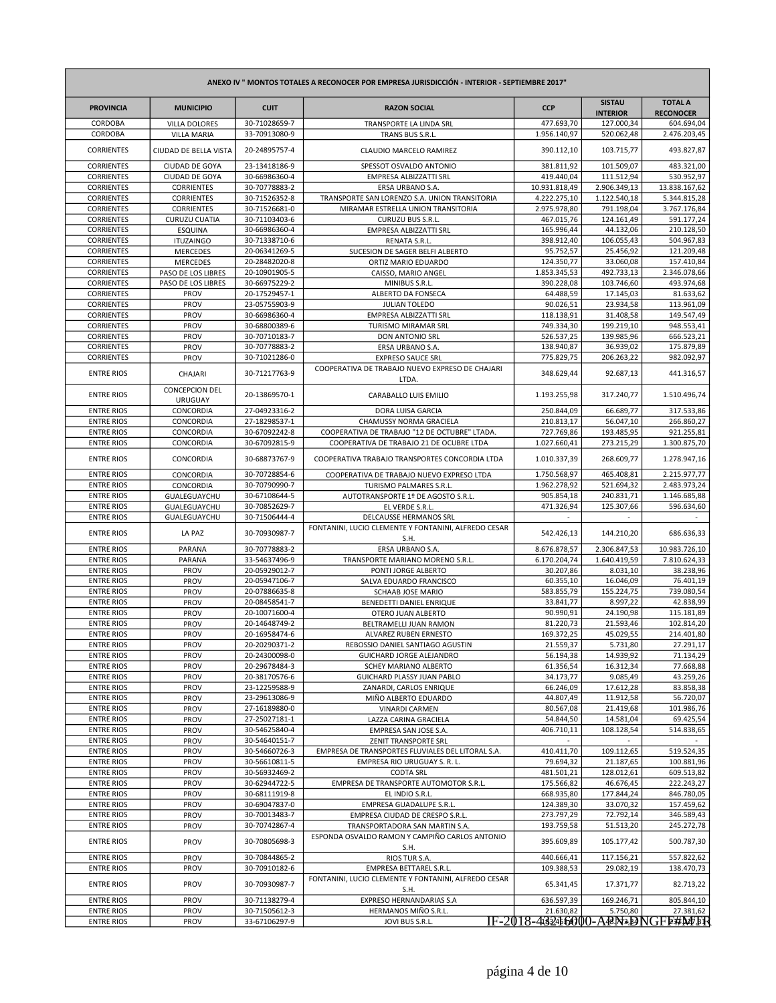| ANEXO IV " MONTOS TOTALES A RECONOCER POR EMPRESA JURISDICCIÓN - INTERIOR - SEPTIEMBRE 2017" |                                             |                                |                                                                                  |                                 |                                  |                                    |
|----------------------------------------------------------------------------------------------|---------------------------------------------|--------------------------------|----------------------------------------------------------------------------------|---------------------------------|----------------------------------|------------------------------------|
| <b>PROVINCIA</b>                                                                             | <b>MUNICIPIO</b>                            | <b>CUIT</b>                    | <b>RAZON SOCIAL</b>                                                              | <b>CCP</b>                      | <b>SISTAU</b><br><b>INTERIOR</b> | <b>TOTAL A</b><br><b>RECONOCER</b> |
| CORDOBA                                                                                      | <b>VILLA DOLORES</b>                        | 30-71028659-7                  | TRANSPORTE LA LINDA SRL                                                          | 477.693,70                      | 127.000,34                       | 604.694,04                         |
| CORDOBA<br><b>CORRIENTES</b>                                                                 | <b>VILLA MARIA</b><br>CIUDAD DE BELLA VISTA | 33-70913080-9<br>20-24895757-4 | TRANS BUS S.R.L.<br>CLAUDIO MARCELO RAMIREZ                                      | 1.956.140,97<br>390.112,10      | 520.062,48<br>103.715,77         | 2.476.203,45<br>493.827,87         |
| <b>CORRIENTES</b>                                                                            | CIUDAD DE GOYA                              | 23-13418186-9                  | SPESSOT OSVALDO ANTONIO                                                          | 381.811,92                      | 101.509,07                       | 483.321,00                         |
| <b>CORRIENTES</b>                                                                            | CIUDAD DE GOYA                              | 30-66986360-4                  | EMPRESA ALBIZZATTI SRL                                                           | 419.440,04                      | 111.512,94                       | 530.952,97                         |
| <b>CORRIENTES</b>                                                                            | <b>CORRIENTES</b>                           | 30-70778883-2                  | ERSA URBANO S.A.                                                                 | 10.931.818,49                   | 2.906.349,13                     | 13.838.167,62                      |
| <b>CORRIENTES</b>                                                                            | <b>CORRIENTES</b>                           | 30-71526352-8                  | TRANSPORTE SAN LORENZO S.A. UNION TRANSITORIA                                    | 4.222.275,10                    | 1.122.540,18                     | 5.344.815,28                       |
| <b>CORRIENTES</b>                                                                            | <b>CORRIENTES</b>                           | 30-71526681-0                  | MIRAMAR ESTRELLA UNION TRANSITORIA                                               | 2.975.978,80                    | 791.198,04                       | 3.767.176,84                       |
| <b>CORRIENTES</b>                                                                            | <b>CURUZU CUATIA</b>                        | 30-71103403-6                  | CURUZU BUS S.R.L.                                                                | 467.015,76                      | 124.161,49                       | 591.177,24                         |
| <b>CORRIENTES</b><br><b>CORRIENTES</b>                                                       | <b>ESQUINA</b><br><b>ITUZAINGO</b>          | 30-66986360-4<br>30-71338710-6 | EMPRESA ALBIZZATTI SRL<br><b>RENATA S.R.L.</b>                                   | 165.996,44<br>398.912,40        | 44.132,06<br>106.055,43          | 210.128,50<br>504.967,83           |
| <b>CORRIENTES</b>                                                                            | <b>MERCEDES</b>                             | 20-06341269-5                  | SUCESION DE SAGER BELFI ALBERTO                                                  | 95.752,57                       | 25.456,92                        | 121.209,48                         |
| <b>CORRIENTES</b>                                                                            | <b>MERCEDES</b>                             | 20-28482020-8                  | ORTIZ MARIO EDUARDO                                                              | 124.350,77                      | 33.060,08                        | 157.410,84                         |
| <b>CORRIENTES</b>                                                                            | PASO DE LOS LIBRES                          | 20-10901905-5                  | CAISSO, MARIO ANGEL                                                              | 1.853.345,53                    | 492.733,13                       | 2.346.078,66                       |
| <b>CORRIENTES</b>                                                                            | PASO DE LOS LIBRES                          | 30-66975229-2                  | MINIBUS S.R.L.                                                                   | 390.228,08                      | 103.746,60                       | 493.974,68                         |
| <b>CORRIENTES</b>                                                                            | PROV                                        | 20-17529457-1                  | ALBERTO DA FONSECA                                                               | 64.488,59                       | 17.145,03                        | 81.633,62                          |
| <b>CORRIENTES</b>                                                                            | PROV                                        | 23-05755903-9                  | JULIAN TOLEDO                                                                    | 90.026,51                       | 23.934,58                        | 113.961,09                         |
| <b>CORRIENTES</b>                                                                            | PROV                                        | 30-66986360-4                  | EMPRESA ALBIZZATTI SRL                                                           | 118.138,91                      | 31.408,58                        | 149.547,49                         |
| <b>CORRIENTES</b>                                                                            | PROV                                        | 30-68800389-6                  | TURISMO MIRAMAR SRL                                                              | 749.334,30                      | 199.219,10                       | 948.553,41                         |
| <b>CORRIENTES</b>                                                                            | PROV                                        | 30-70710183-7                  | <b>DON ANTONIO SRL</b>                                                           | 526.537,25                      | 139.985,96                       | 666.523,21                         |
| <b>CORRIENTES</b><br><b>CORRIENTES</b>                                                       | PROV<br>PROV                                | 30-70778883-2<br>30-71021286-0 | ERSA URBANO S.A.<br><b>EXPRESO SAUCE SRL</b>                                     | 138.940,87<br>775.829,75        | 36.939,02<br>206.263,22          | 175.879,89<br>982.092,97           |
| <b>ENTRE RIOS</b>                                                                            | CHAJARI                                     | 30-71217763-9                  | COOPERATIVA DE TRABAJO NUEVO EXPRESO DE CHAJARI<br>LTDA.                         | 348.629,44                      | 92.687,13                        | 441.316,57                         |
| <b>ENTRE RIOS</b>                                                                            | <b>CONCEPCION DEL</b><br><b>URUGUAY</b>     | 20-13869570-1                  | CARABALLO LUIS EMILIO                                                            | 1.193.255,98                    | 317.240,77                       | 1.510.496,74                       |
| <b>ENTRE RIOS</b>                                                                            | CONCORDIA                                   | 27-04923316-2                  | DORA LUISA GARCIA                                                                | 250.844,09                      | 66.689,77                        | 317.533,86                         |
| <b>ENTRE RIOS</b>                                                                            | CONCORDIA                                   | 27-18298537-1                  | CHAMUSSY NORMA GRACIELA                                                          | 210.813,17                      | 56.047,10                        | 266.860,27                         |
| <b>ENTRE RIOS</b>                                                                            | CONCORDIA                                   | 30-67092242-8                  | COOPERATIVA DE TRABAJO "12 DE OCTUBRE" LTADA.                                    | 727.769,86                      | 193.485,95                       | 921.255,81                         |
| <b>ENTRE RIOS</b>                                                                            | CONCORDIA                                   | 30-67092815-9                  | COOPERATIVA DE TRABAJO 21 DE OCUBRE LTDA                                         | 1.027.660,41                    | 273.215,29                       | 1.300.875,70                       |
| <b>ENTRE RIOS</b>                                                                            | CONCORDIA                                   | 30-68873767-9                  | COOPERATIVA TRABAJO TRANSPORTES CONCORDIA LTDA                                   | 1.010.337,39                    | 268.609,77                       | 1.278.947,16                       |
| <b>ENTRE RIOS</b>                                                                            | CONCORDIA                                   | 30-70728854-6                  | COOPERATIVA DE TRABAJO NUEVO EXPRESO LTDA                                        | 1.750.568,97                    | 465.408,81                       | 2.215.977,77                       |
| <b>ENTRE RIOS</b>                                                                            | CONCORDIA                                   | 30-70790990-7                  | TURISMO PALMARES S.R.L.                                                          | 1.962.278,92                    | 521.694,32                       | 2.483.973,24                       |
| <b>ENTRE RIOS</b>                                                                            | GUALEGUAYCHU                                | 30-67108644-5                  | AUTOTRANSPORTE 1º DE AGOSTO S.R.L.                                               | 905.854,18                      | 240.831,71                       | 1.146.685,88                       |
| <b>ENTRE RIOS</b><br><b>ENTRE RIOS</b>                                                       | GUALEGUAYCHU<br>GUALEGUAYCHU                | 30-70852629-7<br>30-71506444-4 | EL VERDE S.R.L.<br>DELCAUSSE HERMANOS SRL                                        | 471.326,94                      | 125.307,66                       | 596.634,60                         |
| <b>ENTRE RIOS</b>                                                                            | LA PAZ                                      | 30-70930987-7                  | FONTANINI, LUCIO CLEMENTE Y FONTANINI, ALFREDO CESAR<br>S.H.                     | 542.426,13                      | 144.210,20                       | 686.636,33                         |
| <b>ENTRE RIOS</b>                                                                            | PARANA                                      | 30-70778883-2                  | ERSA URBANO S.A.                                                                 | 8.676.878,57                    | 2.306.847,53                     | 10.983.726,10                      |
| <b>ENTRE RIOS</b>                                                                            | PARANA                                      | 33-54637496-9                  | TRANSPORTE MARIANO MORENO S.R.L.                                                 | 6.170.204,74                    | 1.640.419,59                     | 7.810.624,33                       |
| <b>ENTRE RIOS</b>                                                                            | PROV                                        | 20-05929012-7                  | PONTI JORGE ALBERTO                                                              | 30.207,86                       | 8.031,10                         | 38.238,96                          |
| <b>ENTRE RIOS</b>                                                                            | PROV                                        | 20-05947106-7                  | SALVA EDUARDO FRANCISCO                                                          | 60.355,10                       | 16.046,09                        | 76.401,19                          |
| <b>ENTRE RIOS</b>                                                                            | PROV                                        | 20-07886635-8                  | SCHAAB JOSE MARIO                                                                | 583.855,79                      | 155.224,75                       | 739.080,54                         |
| <b>ENTRE RIOS</b>                                                                            | PROV                                        | 20-08458541-7                  | BENEDETTI DANIEL ENRIQUE                                                         | 33.841,77                       | 8.997,22                         | 42.838,99                          |
| <b>ENTRE RIOS</b>                                                                            | PROV                                        | 20-10071600-4                  | OTERO JUAN ALBERTO                                                               | 90.990,91                       | 24.190,98                        | 115.181,89                         |
| <b>ENTRE RIOS</b><br><b>ENTRE RIOS</b>                                                       | PROV<br>PROV                                | 20-14648749-2<br>20-16958474-6 | BELTRAMELLI JUAN RAMON<br>ALVAREZ RUBEN ERNESTO                                  | 81.220,73<br>169.372,25         | 21.593,46<br>45.029,55           | 102.814,20<br>214.401,80           |
| <b>ENTRE RIOS</b>                                                                            | PROV                                        | 20-20290371-2                  | REBOSSIO DANIEL SANTIAGO AGUSTIN                                                 | 21.559,37                       | 5.731,80                         | 27.291,17                          |
| <b>ENTRE RIOS</b>                                                                            | PROV                                        | 20-24300098-0                  | GUICHARD JORGE ALEJANDRO                                                         | 56.194,38                       | 14.939,92                        | 71.134,29                          |
| <b>ENTRE RIOS</b>                                                                            | PROV                                        | 20-29678484-3                  | SCHEY MARIANO ALBERTO                                                            | 61.356,54                       | 16.312,34                        | 77.668,88                          |
| <b>ENTRE RIOS</b>                                                                            | PROV                                        | 20-38170576-6                  | GUICHARD PLASSY JUAN PABLO                                                       | 34.173,77                       | 9.085,49                         | 43.259,26                          |
| <b>ENTRE RIOS</b>                                                                            | PROV                                        | 23-12259588-9                  | ZANARDI, CARLOS ENRIQUE                                                          | 66.246,09                       | 17.612,28                        | 83.858,38                          |
| <b>ENTRE RIOS</b>                                                                            | PROV                                        | 23-29613086-9                  | MIÑO ALBERTO EDUARDO                                                             | 44.807,49                       | 11.912,58                        | 56.720,07                          |
| <b>ENTRE RIOS</b>                                                                            | PROV                                        | 27-16189880-0                  | <b>VINARDI CARMEN</b>                                                            | 80.567,08                       | 21.419,68                        | 101.986,76                         |
| <b>ENTRE RIOS</b>                                                                            | PROV                                        | 27-25027181-1                  | LAZZA CARINA GRACIELA                                                            | 54.844,50                       | 14.581,04                        | 69.425,54                          |
| <b>ENTRE RIOS</b><br><b>ENTRE RIOS</b>                                                       | PROV                                        | 30-54625840-4<br>30-54640151-7 | EMPRESA SAN JOSE S.A.                                                            | 406.710,11                      | 108.128,54                       | 514.838,65                         |
| <b>ENTRE RIOS</b>                                                                            | PROV<br>PROV                                | 30-54660726-3                  | ZENIT TRANSPORTE SRL<br>EMPRESA DE TRANSPORTES FLUVIALES DEL LITORAL S.A.        | 410.411,70                      | 109.112,65                       | 519.524,35                         |
| <b>ENTRE RIOS</b>                                                                            | PROV                                        | 30-56610811-5                  | EMPRESA RIO URUGUAY S. R. L.                                                     | 79.694,32                       | 21.187,65                        | 100.881,96                         |
| <b>ENTRE RIOS</b>                                                                            | PROV                                        | 30-56932469-2                  | <b>CODTA SRL</b>                                                                 | 481.501,21                      | 128.012,61                       | 609.513,82                         |
| <b>ENTRE RIOS</b>                                                                            | PROV                                        | 30-62944722-5                  | EMPRESA DE TRANSPORTE AUTOMOTOR S.R.L.                                           | 175.566,82                      | 46.676,45                        | 222.243,27                         |
| <b>ENTRE RIOS</b>                                                                            | PROV                                        | 30-68111919-8                  | EL INDIO S.R.L.                                                                  | 668.935,80                      | 177.844,24                       | 846.780,05                         |
| <b>ENTRE RIOS</b>                                                                            | PROV                                        | 30-69047837-0                  | EMPRESA GUADALUPE S.R.L.                                                         | 124.389,30                      | 33.070,32                        | 157.459,62                         |
| <b>ENTRE RIOS</b>                                                                            | PROV                                        | 30-70013483-7                  | EMPRESA CIUDAD DE CRESPO S.R.L.                                                  | 273.797,29                      | 72.792,14                        | 346.589,43                         |
| <b>ENTRE RIOS</b><br><b>ENTRE RIOS</b>                                                       | PROV<br>PROV                                | 30-70742867-4<br>30-70805698-3 | TRANSPORTADORA SAN MARTIN S.A.<br>ESPONDA OSVALDO RAMON Y CAMPIÑO CARLOS ANTONIO | 193.759,58<br>395.609,89        | 51.513,20<br>105.177,42          | 245.272,78<br>500.787,30           |
|                                                                                              |                                             |                                | S.H.                                                                             |                                 |                                  |                                    |
| <b>ENTRE RIOS</b>                                                                            | PROV                                        | 30-70844865-2                  | RIOS TUR S.A.                                                                    | 440.666,41                      | 117.156,21                       | 557.822,62                         |
| <b>ENTRE RIOS</b>                                                                            | PROV                                        | 30-70910182-6                  | EMPRESA BETTAREL S.R.L.<br>FONTANINI, LUCIO CLEMENTE Y FONTANINI, ALFREDO CESAR  | 109.388,53                      | 29.082,19                        | 138.470,73                         |
| <b>ENTRE RIOS</b>                                                                            | PROV                                        | 30-70930987-7                  | S.H.                                                                             | 65.341,45                       | 17.371,77                        | 82.713,22                          |
| <b>ENTRE RIOS</b><br><b>ENTRE RIOS</b>                                                       | PROV<br>PROV                                | 30-71138279-4<br>30-71505612-3 | EXPRESO HERNANDARIAS S.A<br>HERMANOS MIÑO S.R.L.                                 | 636.597,39<br>21.630,82         | 169.246,71<br>5.750,80           | 805.844,10<br>27.381,62            |
| <b>ENTRE RIOS</b>                                                                            | PROV                                        | 33-67106297-9                  | JOVI BUS S.R.L.                                                                  | IF-2018-43245000-ABN3DNGFE#M/FR |                                  |                                    |
|                                                                                              |                                             |                                |                                                                                  |                                 |                                  |                                    |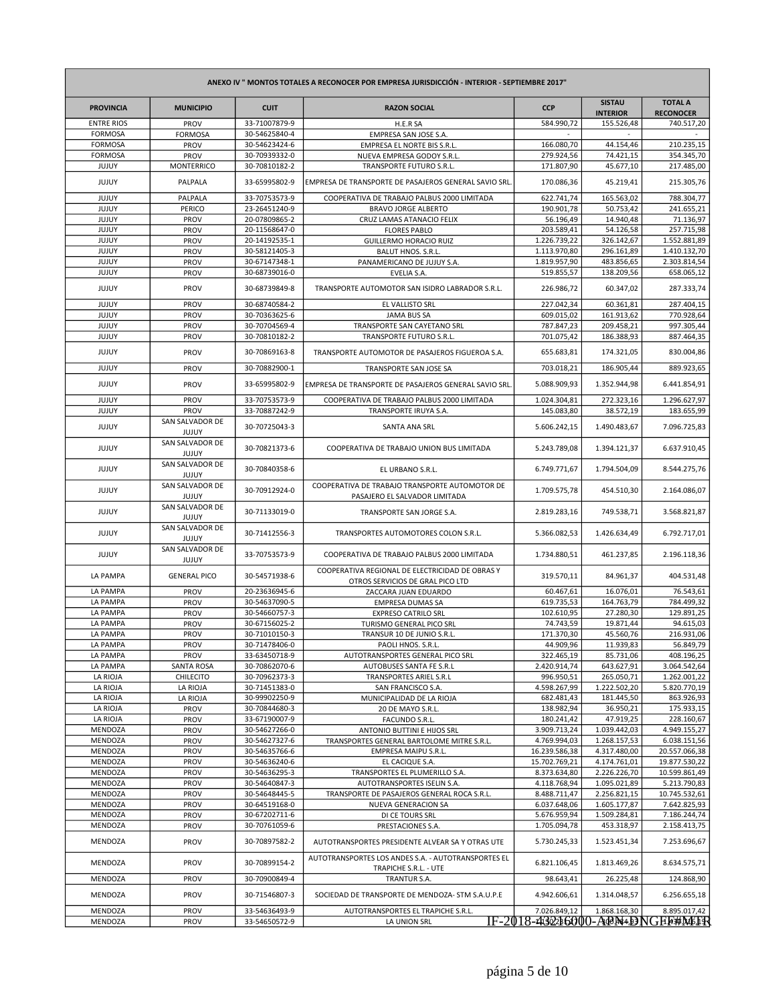| ANEXO IV " MONTOS TOTALES A RECONOCER POR EMPRESA JURISDICCIÓN - INTERIOR - SEPTIEMBRE 2017" |                                 |                                |                                                                                                         |                                  |                                  |                                    |
|----------------------------------------------------------------------------------------------|---------------------------------|--------------------------------|---------------------------------------------------------------------------------------------------------|----------------------------------|----------------------------------|------------------------------------|
| <b>PROVINCIA</b>                                                                             | <b>MUNICIPIO</b>                | <b>CUIT</b>                    | <b>RAZON SOCIAL</b>                                                                                     | <b>CCP</b>                       | <b>SISTAU</b><br><b>INTERIOR</b> | <b>TOTAL A</b><br><b>RECONOCER</b> |
| <b>ENTRE RIOS</b>                                                                            | PROV                            | 33-71007879-9                  | H.E.R SA                                                                                                | 584.990,72                       | 155.526,48                       | 740.517,20                         |
| <b>FORMOSA</b>                                                                               | <b>FORMOSA</b>                  | 30-54625840-4                  | EMPRESA SAN JOSE S.A.                                                                                   |                                  |                                  |                                    |
| <b>FORMOSA</b>                                                                               | PROV                            | 30-54623424-6                  | EMPRESA EL NORTE BIS S.R.L.                                                                             | 166.080,70                       | 44.154,46                        | 210.235,15                         |
| <b>FORMOSA</b><br>JUJUY                                                                      | PROV<br><b>MONTERRICO</b>       | 30-70939332-0<br>30-70810182-2 | NUEVA EMPRESA GODOY S.R.L.<br>TRANSPORTE FUTURO S.R.L.                                                  | 279.924,56<br>171.807,90         | 74.421,15<br>45.677,10           | 354.345,70<br>217.485,00           |
| JUJUY                                                                                        | PALPALA                         | 33-65995802-9                  | EMPRESA DE TRANSPORTE DE PASAJEROS GENERAL SAVIO SRL                                                    | 170.086,36                       | 45.219,41                        | 215.305,76                         |
| JUJUY                                                                                        | PALPALA                         | 33-70753573-9                  | COOPERATIVA DE TRABAJO PALBUS 2000 LIMITADA                                                             | 622.741,74                       | 165.563,02                       | 788.304,77                         |
| JUJUY                                                                                        | PERICO                          | 23-26451240-9                  | <b>BRAVO JORGE ALBERTO</b>                                                                              | 190.901,78                       | 50.753,42                        | 241.655,21                         |
| JUJUY                                                                                        | PROV                            | 20-07809865-2                  | CRUZ LAMAS ATANACIO FELIX                                                                               | 56.196,49                        | 14.940,48                        | 71.136,97                          |
| JUJUY                                                                                        | PROV                            | 20-11568647-0                  | <b>FLORES PABLO</b>                                                                                     | 203.589,41                       | 54.126,58                        | 257.715,98                         |
| JUJUY                                                                                        | PROV                            | 20-14192535-1                  | GUILLERMO HORACIO RUIZ                                                                                  | 1.226.739,22                     | 326.142,67                       | 1.552.881,89                       |
| JUJUY                                                                                        | PROV                            | 30-58121405-3                  | BALUT HNOS. S.R.L.                                                                                      | 1.113.970,80                     | 296.161,89                       | 1.410.132,70                       |
| JUJUY                                                                                        | PROV                            | 30-67147348-1                  | PANAMERICANO DE JUJUY S.A.                                                                              | 1.819.957,90                     | 483.856,65                       | 2.303.814,54                       |
| JUJUY                                                                                        | PROV                            | 30-68739016-0                  | EVELIA S.A.                                                                                             | 519.855,57                       | 138.209,56                       | 658.065,12                         |
| JUJUY                                                                                        | PROV                            | 30-68739849-8                  | TRANSPORTE AUTOMOTOR SAN ISIDRO LABRADOR S.R.L.                                                         | 226.986,72                       | 60.347,02                        | 287.333,74                         |
| JUJUY                                                                                        | PROV                            | 30-68740584-2                  | EL VALLISTO SRL                                                                                         | 227.042,34                       | 60.361,81                        | 287.404,15                         |
| JUJUY                                                                                        | PROV                            | 30-70363625-6                  | <b>JAMA BUS SA</b>                                                                                      | 609.015,02                       | 161.913,62                       | 770.928,64                         |
| JUJUY                                                                                        | PROV                            | 30-70704569-4                  | TRANSPORTE SAN CAYETANO SRL                                                                             | 787.847,23                       | 209.458,21                       | 997.305,44                         |
| JUJUY                                                                                        | PROV                            | 30-70810182-2                  | TRANSPORTE FUTURO S.R.L.                                                                                | 701.075,42                       | 186.388,93                       | 887.464,35                         |
| JUJUY                                                                                        | PROV                            | 30-70869163-8                  | TRANSPORTE AUTOMOTOR DE PASAJEROS FIGUEROA S.A.                                                         | 655.683,81                       | 174.321,05                       | 830.004,86                         |
| JUJUY                                                                                        | PROV                            | 30-70882900-1                  | TRANSPORTE SAN JOSE SA                                                                                  | 703.018,21                       | 186.905,44                       | 889.923,65                         |
| JUJUY                                                                                        | PROV                            | 33-65995802-9                  | EMPRESA DE TRANSPORTE DE PASAJEROS GENERAL SAVIO SRL.                                                   | 5.088.909,93                     | 1.352.944,98                     | 6.441.854,91                       |
| JUJUY                                                                                        | PROV                            | 33-70753573-9                  | COOPERATIVA DE TRABAJO PALBUS 2000 LIMITADA                                                             | 1.024.304,81                     | 272.323,16                       | 1.296.627,97                       |
| JUJUY                                                                                        | PROV<br>SAN SALVADOR DE         | 33-70887242-9                  | TRANSPORTE IRUYA S.A.                                                                                   | 145.083,80                       | 38.572,19                        | 183.655,99                         |
| <b>JUJUY</b>                                                                                 | JUJUY                           | 30-70725043-3                  | SANTA ANA SRL                                                                                           | 5.606.242.15                     | 1.490.483,67                     | 7.096.725,83                       |
| JUJUY                                                                                        | SAN SALVADOR DE<br>JUJUY        | 30-70821373-6                  | COOPERATIVA DE TRABAJO UNION BUS LIMITADA                                                               | 5.243.789,08                     | 1.394.121,37                     | 6.637.910,45                       |
| JUJUY                                                                                        | SAN SALVADOR DE<br>JUJUY        | 30-70840358-6                  | EL URBANO S.R.L.                                                                                        | 6.749.771,67                     | 1.794.504,09                     | 8.544.275,76                       |
| JUJUY                                                                                        | SAN SALVADOR DE<br>JUJUY        | 30-70912924-0                  | COOPERATIVA DE TRABAJO TRANSPORTE AUTOMOTOR DE<br>PASAJERO EL SALVADOR LIMITADA                         | 1.709.575,78                     | 454.510,30                       | 2.164.086,07                       |
| JUJUY                                                                                        | SAN SALVADOR DE<br>JUJUY        | 30-71133019-0                  | TRANSPORTE SAN JORGE S.A.                                                                               | 2.819.283,16                     | 749.538,71                       | 3.568.821,87                       |
| JUJUY                                                                                        | SAN SALVADOR DE<br>JUJUY        | 30-71412556-3                  | TRANSPORTES AUTOMOTORES COLON S.R.L.                                                                    | 5.366.082,53                     | 1.426.634,49                     | 6.792.717,01                       |
| JUJUY                                                                                        | SAN SALVADOR DE<br><b>JUJUY</b> | 33-70753573-9                  | COOPERATIVA DE TRABAJO PALBUS 2000 LIMITADA                                                             | 1.734.880,51                     | 461.237,85                       | 2.196.118,36                       |
| LA PAMPA                                                                                     | <b>GENERAL PICO</b>             | 30-54571938-6                  | COOPERATIVA REGIONAL DE ELECTRICIDAD DE OBRAS Y<br>OTROS SERVICIOS DE GRAL PICO LTD                     | 319.570,11                       | 84.961,37                        | 404.531,48                         |
| LA PAMPA                                                                                     | PROV                            | 20-23636945-6                  | ZACCARA JUAN EDUARDO                                                                                    | 60.467,61                        | 16.076,01                        | 76.543,61                          |
| LA PAMPA                                                                                     | PROV                            | 30-54637090-5                  | <b>EMPRESA DUMAS SA</b>                                                                                 | 619.735,53                       | 164.763,79                       | 784.499,32                         |
| LA PAMPA                                                                                     | PROV                            | 30-54660757-3                  | <b>EXPRESO CATRILO SRL</b>                                                                              | 102.610,95                       | 27.280,30                        | 129.891.25                         |
| LA PAMPA<br>LA PAMPA                                                                         | PROV<br>PROV                    | 30-67156025-2<br>30-71010150-3 | TURISMO GENERAL PICO SRL<br>TRANSUR 10 DE JUNIO S.R.L.                                                  | 74.743,59<br>171.370,30          | 19.871,44<br>45.560,76           | 94.615,03<br>216.931,06            |
| LA PAMPA                                                                                     | PROV                            | 30-71478406-0                  | PAOLI HNOS. S.R.L.                                                                                      | 44.909,96                        | 11.939,83                        | 56.849,79                          |
| LA PAMPA                                                                                     | PROV                            | 33-63450718-9                  | AUTOTRANSPORTES GENERAL PICO SRL                                                                        | 322.465,19                       | 85.731,06                        | 408.196,25                         |
| LA PAMPA                                                                                     | SANTA ROSA                      | 30-70862070-6                  | AUTOBUSES SANTA FE S.R.L                                                                                | 2.420.914,74                     | 643.627,91                       | 3.064.542,64                       |
| LA RIOJA                                                                                     | CHILECITO                       | 30-70962373-3                  | TRANSPORTES ARIEL S.R.L                                                                                 | 996.950,51                       | 265.050,71                       | 1.262.001,22                       |
| LA RIOJA                                                                                     | LA RIOJA                        | 30-71451383-0                  | SAN FRANCISCO S.A.                                                                                      | 4.598.267,99                     | 1.222.502,20                     | 5.820.770,19                       |
| LA RIOJA                                                                                     | LA RIOJA                        | 30-99902250-9                  | MUNICIPALIDAD DE LA RIOJA                                                                               | 682.481,43                       | 181.445,50                       | 863.926,93                         |
| LA RIOJA                                                                                     | PROV                            | 30-70844680-3                  | 20 DE MAYO S.R.L.                                                                                       | 138.982,94                       | 36.950,21                        | 175.933,15                         |
| LA RIOJA                                                                                     | PROV                            | 33-67190007-9                  | FACUNDO S.R.L.                                                                                          | 180.241,42                       | 47.919,25                        | 228.160,67                         |
| MENDOZA<br>MENDOZA                                                                           | PROV                            | 30-54627266-0<br>30-54627327-6 | ANTONIO BUTTINI E HIJOS SRL                                                                             | 3.909.713,24<br>4.769.994,03     | 1.039.442,03<br>1.268.157,53     | 4.949.155,27<br>6.038.151,56       |
| MENDOZA                                                                                      | PROV<br>PROV                    | 30-54635766-6                  | TRANSPORTES GENERAL BARTOLOME MITRE S.R.L.<br>EMPRESA MAIPU S.R.L.                                      | 16.239.586,38                    | 4.317.480,00                     | 20.557.066,38                      |
| MENDOZA                                                                                      | PROV                            | 30-54636240-6                  | EL CACIQUE S.A.                                                                                         | 15.702.769,21                    | 4.174.761,01                     | 19.877.530,22                      |
| MENDOZA                                                                                      | PROV                            | 30-54636295-3                  | TRANSPORTES EL PLUMERILLO S.A.                                                                          | 8.373.634,80                     | 2.226.226,70                     | 10.599.861,49                      |
| MENDOZA                                                                                      | PROV                            | 30-54640847-3                  | AUTOTRANSPORTES ISELIN S.A.                                                                             | 4.118.768,94                     | 1.095.021,89                     | 5.213.790,83                       |
| MENDOZA                                                                                      | PROV                            | 30-54648445-5                  | TRANSPORTE DE PASAJEROS GENERAL ROCA S.R.L.                                                             | 8.488.711,47                     | 2.256.821,15                     | 10.745.532,61                      |
| MENDOZA                                                                                      | PROV                            | 30-64519168-0                  | NUEVA GENERACION SA                                                                                     | 6.037.648,06                     | 1.605.177,87                     | 7.642.825,93                       |
| MENDOZA                                                                                      | PROV                            | 30-67202711-6                  | DI CE TOURS SRL                                                                                         | 5.676.959,94                     | 1.509.284,81                     | 7.186.244,74                       |
| MENDOZA                                                                                      | PROV                            | 30-70761059-6                  | PRESTACIONES S.A.                                                                                       | 1.705.094,78                     | 453.318,97                       | 2.158.413,75                       |
| MENDOZA                                                                                      | PROV                            | 30-70897582-2                  | AUTOTRANSPORTES PRESIDENTE ALVEAR SA Y OTRAS UTE<br>AUTOTRANSPORTES LOS ANDES S.A. - AUTOTRANSPORTES EL | 5.730.245,33                     | 1.523.451,34                     | 7.253.696,67                       |
| MENDOZA                                                                                      | PROV                            | 30-70899154-2                  | TRAPICHE S.R.L. - UTE                                                                                   | 6.821.106,45                     | 1.813.469,26                     | 8.634.575,71                       |
| MENDOZA<br>MENDOZA                                                                           | PROV<br>PROV                    | 30-70900849-4<br>30-71546807-3 | TRANTUR S.A.<br>SOCIEDAD DE TRANSPORTE DE MENDOZA- STM S.A.U.P.E                                        | 98.643,41<br>4.942.606,61        | 26.225,48<br>1.314.048,57        | 124.868,90<br>6.256.655,18         |
| MENDOZA                                                                                      | <b>PROV</b>                     | 33-54636493-9                  | AUTOTRANSPORTES EL TRAPICHE S.R.L.                                                                      | 7.026.849,12                     | 1.868.168,30                     | 8.895.017,42                       |
| MENDOZA                                                                                      | PROV                            | 33-54650572-9                  | LA UNION SRL                                                                                            | IF-2018-43226000-ACN4.DNGFF#M6TR |                                  |                                    |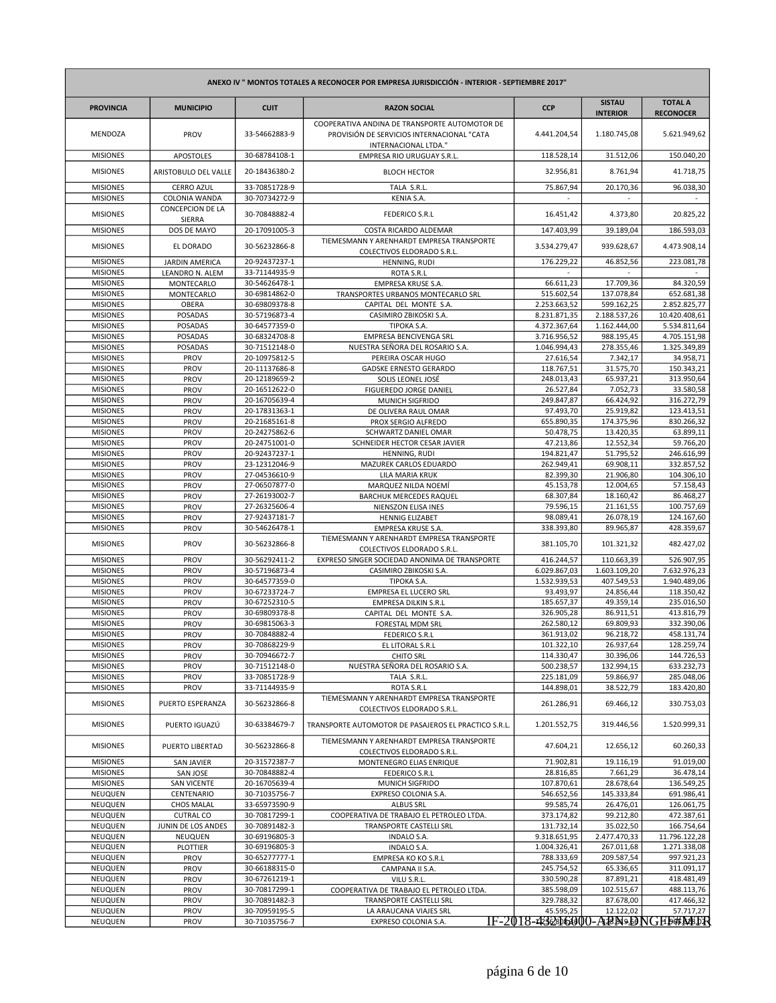| ANEXO IV " MONTOS TOTALES A RECONOCER POR EMPRESA JURISDICCIÓN - INTERIOR - SEPTIEMBRE 2017" |                                   |                                |                                                                                                                     |                                                |                                  |                                    |
|----------------------------------------------------------------------------------------------|-----------------------------------|--------------------------------|---------------------------------------------------------------------------------------------------------------------|------------------------------------------------|----------------------------------|------------------------------------|
| <b>PROVINCIA</b>                                                                             | <b>MUNICIPIO</b>                  | <b>CUIT</b>                    | <b>RAZON SOCIAL</b>                                                                                                 | <b>CCP</b>                                     | <b>SISTAU</b><br><b>INTERIOR</b> | <b>TOTAL A</b><br><b>RECONOCER</b> |
| <b>MENDOZA</b>                                                                               | PROV                              | 33-54662883-9                  | COOPERATIVA ANDINA DE TRANSPORTE AUTOMOTOR DE<br>PROVISIÓN DE SERVICIOS INTERNACIONAL "CATA<br>INTERNACIONAL LTDA." | 4.441.204,54                                   | 1.180.745,08                     | 5.621.949,62                       |
| <b>MISIONES</b>                                                                              | <b>APOSTOLES</b>                  | 30-68784108-1                  | EMPRESA RIO URUGUAY S.R.L.                                                                                          | 118.528,14                                     | 31.512,06                        | 150.040,20                         |
| <b>MISIONES</b>                                                                              | ARISTOBULO DEL VALLE              | 20-18436380-2                  | <b>BLOCH HECTOR</b>                                                                                                 | 32.956,81                                      | 8.761,94                         | 41.718,75                          |
| <b>MISIONES</b>                                                                              | <b>CERRO AZUL</b>                 | 33-70851728-9                  | TALA S.R.L.                                                                                                         | 75.867,94                                      | 20.170,36                        | 96.038,30                          |
| <b>MISIONES</b>                                                                              | COLONIA WANDA<br>CONCEPCION DE LA | 30-70734272-9                  | KENIA S.A.                                                                                                          |                                                |                                  |                                    |
| <b>MISIONES</b>                                                                              | SIERRA                            | 30-70848882-4                  | <b>FEDERICO S.R.L</b>                                                                                               | 16.451,42                                      | 4.373,80                         | 20.825,22                          |
| <b>MISIONES</b>                                                                              | DOS DE MAYO                       | 20-17091005-3                  | COSTA RICARDO ALDEMAR                                                                                               | 147.403,99                                     | 39.189,04                        | 186.593,03                         |
| <b>MISIONES</b>                                                                              | EL DORADO                         | 30-56232866-8                  | TIEMESMANN Y ARENHARDT EMPRESA TRANSPORTE<br>COLECTIVOS ELDORADO S.R.L.                                             | 3.534.279,47                                   | 939.628,67                       | 4.473.908,14                       |
| <b>MISIONES</b>                                                                              | <b>JARDIN AMERICA</b>             | 20-92437237-1                  | HENNING, RUDI                                                                                                       | 176.229,22                                     | 46.852,56                        | 223.081,78                         |
| <b>MISIONES</b><br><b>MISIONES</b>                                                           | LEANDRO N. ALEM<br>MONTECARLO     | 33-71144935-9<br>30-54626478-1 | ROTA S.R.L<br><b>EMPRESA KRUSE S.A.</b>                                                                             | 66.611,23                                      | 17.709,36                        | 84.320,59                          |
| <b>MISIONES</b>                                                                              | MONTECARLO                        | 30-69814862-0                  | TRANSPORTES URBANOS MONTECARLO SRL                                                                                  | 515.602,54                                     | 137.078,84                       | 652.681,38                         |
| <b>MISIONES</b>                                                                              | OBERA                             | 30-69809378-8                  | CAPITAL DEL MONTE S.A.                                                                                              | 2.253.663,52                                   | 599.162,25                       | 2.852.825,77                       |
| <b>MISIONES</b>                                                                              | POSADAS                           | 30-57196873-4                  | CASIMIRO ZBIKOSKI S.A.                                                                                              | 8.231.871,35                                   | 2.188.537,26                     | 10.420.408,61                      |
| <b>MISIONES</b>                                                                              | <b>POSADAS</b>                    | 30-64577359-0                  | TIPOKA S.A.                                                                                                         | 4.372.367,64                                   | 1.162.444,00                     | 5.534.811,64                       |
| <b>MISIONES</b>                                                                              | POSADAS                           | 30-68324708-8                  | EMPRESA BENCIVENGA SRL                                                                                              | 3.716.956,52                                   | 988.195,45                       | 4.705.151,98                       |
| <b>MISIONES</b><br><b>MISIONES</b>                                                           | POSADAS<br>PROV                   | 30-71512148-0<br>20-10975812-5 | NUESTRA SEÑORA DEL ROSARIO S.A.<br>PEREIRA OSCAR HUGO                                                               | 1.046.994,43<br>27.616,54                      | 278.355,46<br>7.342,17           | 1.325.349,89<br>34.958,71          |
| <b>MISIONES</b>                                                                              | PROV                              | 20-11137686-8                  | <b>GADSKE ERNESTO GERARDO</b>                                                                                       | 118.767,51                                     | 31.575,70                        | 150.343,21                         |
| <b>MISIONES</b>                                                                              | PROV                              | 20-12189659-2                  | SOLIS LEONEL JOSÉ                                                                                                   | 248.013,43                                     | 65.937,21                        | 313.950,64                         |
| <b>MISIONES</b>                                                                              | PROV                              | 20-16512622-0                  | FIGUEREDO JORGE DANIEL                                                                                              | 26.527,84                                      | 7.052,73                         | 33.580,58                          |
| <b>MISIONES</b>                                                                              | PROV                              | 20-16705639-4                  | MUNICH SIGFRIDO                                                                                                     | 249.847,87                                     | 66.424,92                        | 316.272,79                         |
| <b>MISIONES</b>                                                                              | PROV                              | 20-17831363-1                  | DE OLIVERA RAUL OMAR                                                                                                | 97.493,70                                      | 25.919,82                        | 123.413,51                         |
| <b>MISIONES</b>                                                                              | PROV                              | 20-21685161-8                  | PROX SERGIO ALFREDO                                                                                                 | 655.890,35                                     | 174.375,96                       | 830.266,32                         |
| <b>MISIONES</b>                                                                              | PROV                              | 20-24275862-6                  | SCHWARTZ DANIEL OMAR                                                                                                | 50.478,75                                      | 13.420,35                        | 63.899,11                          |
| <b>MISIONES</b><br><b>MISIONES</b>                                                           | PROV<br>PROV                      | 20-24751001-0<br>20-92437237-1 | SCHNEIDER HECTOR CESAR JAVIER<br>HENNING, RUDI                                                                      | 47.213,86<br>194.821,47                        | 12.552,34<br>51.795,52           | 59.766,20<br>246.616,99            |
| <b>MISIONES</b>                                                                              | PROV                              | 23-12312046-9                  | MAZUREK CARLOS EDUARDO                                                                                              | 262.949,41                                     | 69.908,11                        | 332.857,52                         |
| <b>MISIONES</b>                                                                              | PROV                              | 27-04536610-9                  | LILA MARIA KRUK                                                                                                     | 82.399,30                                      | 21.906,80                        | 104.306,10                         |
| <b>MISIONES</b>                                                                              | PROV                              | 27-06507877-0                  | MARQUEZ NILDA NOEMÍ                                                                                                 | 45.153,78                                      | 12.004,65                        | 57.158,43                          |
| <b>MISIONES</b>                                                                              | PROV                              | 27-26193002-7                  | <b>BARCHUK MERCEDES RAQUEL</b>                                                                                      | 68.307,84                                      | 18.160,42                        | 86.468,27                          |
| <b>MISIONES</b>                                                                              | PROV                              | 27-26325606-4                  | NIENSZON ELISA INES                                                                                                 | 79.596,15                                      | 21.161,55                        | 100.757,69                         |
| <b>MISIONES</b>                                                                              | PROV                              | 27-92437181-7                  | <b>HENNIG ELIZABET</b>                                                                                              | 98.089,41                                      | 26.078,19                        | 124.167,60                         |
| <b>MISIONES</b><br><b>MISIONES</b>                                                           | PROV<br>PROV                      | 30-54626478-1<br>30-56232866-8 | <b>EMPRESA KRUSE S.A.</b><br>TIEMESMANN Y ARENHARDT EMPRESA TRANSPORTE                                              | 338.393,80<br>381.105,70                       | 89.965,87<br>101.321,32          | 428.359,67<br>482.427,02           |
| <b>MISIONES</b>                                                                              | PROV                              | 30-56292411-2                  | COLECTIVOS ELDORADO S.R.L.<br>EXPRESO SINGER SOCIEDAD ANONIMA DE TRANSPORTE                                         | 416.244,57                                     | 110.663,39                       | 526.907,95                         |
| <b>MISIONES</b>                                                                              | PROV                              | 30-57196873-4                  | CASIMIRO ZBIKOSKI S.A.                                                                                              | 6.029.867,03                                   | 1.603.109,20                     | 7.632.976,23                       |
| <b>MISIONES</b>                                                                              | PROV                              | 30-64577359-0                  | TIPOKA S.A.                                                                                                         | 1.532.939,53                                   | 407.549,53                       | 1.940.489,06                       |
| <b>MISIONES</b>                                                                              | PROV                              | 30-67233724-7                  | EMPRESA EL LUCERO SRL                                                                                               | 93.493,97                                      | 24.856,44                        | 118.350,42                         |
| <b>MISIONES</b>                                                                              | PROV                              | 30-67252310-5                  | <b>EMPRESA DILKIN S.R.L</b>                                                                                         | 185.657,37                                     | 49.359,14                        | 235.016,50                         |
| <b>MISIONES</b><br><b>MISIONES</b>                                                           | PROV<br>PROV                      | 30-69809378-8<br>30-69815063-3 | CAPITAL DEL MONTE S.A.                                                                                              | 326.905,28<br>262.580,12                       | 86.911,51<br>69.809,93           | 413.816,79<br>332.390,06           |
| <b>MISIONES</b>                                                                              | PROV                              | 30-70848882-4                  | FORESTAL MDM SRL<br><b>FEDERICO S.R.L</b>                                                                           | 361.913,02                                     | 96.218,72                        | 458.131,74                         |
| <b>MISIONES</b>                                                                              | PROV                              | 30-70868229-9                  | EL LITORAL S.R.L                                                                                                    | 101.322,10                                     | 26.937,64                        | 128.259,74                         |
| <b>MISIONES</b>                                                                              | PROV                              | 30-70946672-7                  | <b>CHITO SRL</b>                                                                                                    | 114.330,47                                     | 30.396,06                        | 144.726,53                         |
| <b>MISIONES</b>                                                                              | PROV                              | 30-71512148-0                  | NUESTRA SEÑORA DEL ROSARIO S.A.                                                                                     | 500.238,57                                     | 132.994,15                       | 633.232,73                         |
| <b>MISIONES</b>                                                                              | PROV                              | 33-70851728-9                  | TALA S.R.L.                                                                                                         | 225.181,09                                     | 59.866,97                        | 285.048,06                         |
| <b>MISIONES</b>                                                                              | PROV                              | 33-71144935-9                  | ROTA S.R.L<br>TIEMESMANN Y ARENHARDT EMPRESA TRANSPORTE                                                             | 144.898,01                                     | 38.522,79                        | 183.420,80                         |
| <b>MISIONES</b>                                                                              | PUERTO ESPERANZA                  | 30-56232866-8                  | COLECTIVOS ELDORADO S.R.L.                                                                                          | 261.286,91                                     | 69.466,12                        | 330.753,03                         |
| <b>MISIONES</b>                                                                              | PUERTO IGUAZÚ                     | 30-63384679-7                  | TRANSPORTE AUTOMOTOR DE PASAJEROS EL PRACTICO S.R.L.                                                                | 1.201.552,75                                   | 319.446,56                       | 1.520.999,31                       |
| <b>MISIONES</b>                                                                              | PUERTO LIBERTAD                   | 30-56232866-8                  | TIEMESMANN Y ARENHARDT EMPRESA TRANSPORTE<br>COLECTIVOS ELDORADO S.R.L.                                             | 47.604,21                                      | 12.656,12                        | 60.260,33                          |
| <b>MISIONES</b><br><b>MISIONES</b>                                                           | <b>SAN JAVIER</b><br>SAN JOSE     | 20-31572387-7<br>30-70848882-4 | MONTENEGRO ELIAS ENRIQUE<br><b>FEDERICO S.R.L</b>                                                                   | 71.902,81<br>28.816,85                         | 19.116,19<br>7.661,29            | 91.019,00<br>36.478,14             |
| <b>MISIONES</b>                                                                              | <b>SAN VICENTE</b>                | 20-16705639-4                  | MUNICH SIGFRIDO                                                                                                     | 107.870,61                                     | 28.678,64                        | 136.549,25                         |
| NEUQUEN                                                                                      | CENTENARIO                        | 30-71035756-7                  | EXPRESO COLONIA S.A.                                                                                                | 546.652,56                                     | 145.333,84                       | 691.986,41                         |
| NEUQUEN                                                                                      | <b>CHOS MALAL</b>                 | 33-65973590-9                  | <b>ALBUS SRL</b>                                                                                                    | 99.585,74                                      | 26.476,01                        | 126.061,75                         |
| NEUQUEN                                                                                      | <b>CUTRAL CO</b>                  | 30-70817299-1                  | COOPERATIVA DE TRABAJO EL PETROLEO LTDA.                                                                            | 373.174,82                                     | 99.212,80                        | 472.387,61                         |
| NEUQUEN                                                                                      | JUNIN DE LOS ANDES                | 30-70891482-3                  | TRANSPORTE CASTELLI SRL                                                                                             | 131.732,14                                     | 35.022,50                        | 166.754,64                         |
| NEUQUEN<br>NEUQUEN                                                                           | NEUQUEN<br>PLOTTIER               | 30-69196805-3<br>30-69196805-3 | <b>INDALO S.A.</b><br><b>INDALO S.A.</b>                                                                            | 9.318.651,95<br>1.004.326,41                   | 2.477.470,33<br>267.011,68       | 11.796.122,28<br>1.271.338,08      |
| NEUQUEN                                                                                      | PROV                              | 30-65277777-1                  | EMPRESA KO KO S.R.L                                                                                                 | 788.333,69                                     | 209.587,54                       | 997.921,23                         |
| NEUQUEN                                                                                      | PROV                              | 30-66188315-0                  | CAMPANA II S.A.                                                                                                     | 245.754,52                                     | 65.336,65                        | 311.091,17                         |
| NEUQUEN                                                                                      | PROV                              | 30-67261219-1                  | VILU S.R.L.                                                                                                         | 330.590,28                                     | 87.891,21                        | 418.481,49                         |
| NEUQUEN                                                                                      | PROV                              | 30-70817299-1                  | COOPERATIVA DE TRABAJO EL PETROLEO LTDA.                                                                            | 385.598,09                                     | 102.515,67                       | 488.113,76                         |
| NEUQUEN                                                                                      | PROV                              | 30-70891482-3                  | TRANSPORTE CASTELLI SRL                                                                                             | 329.788,32                                     | 87.678,00                        | 417.466,32                         |
| NEUQUEN                                                                                      | PROV                              | 30-70959195-5                  | LA ARAUCANA VIAJES SRL                                                                                              | 45.595,25<br>IF-2018-432sb6000-ARN9.DNGH5#M8DR | 12.122,02                        | 57.717,27                          |
| NEUQUEN                                                                                      | PROV                              | 30-71035756-7                  | EXPRESO COLONIA S.A.                                                                                                |                                                |                                  |                                    |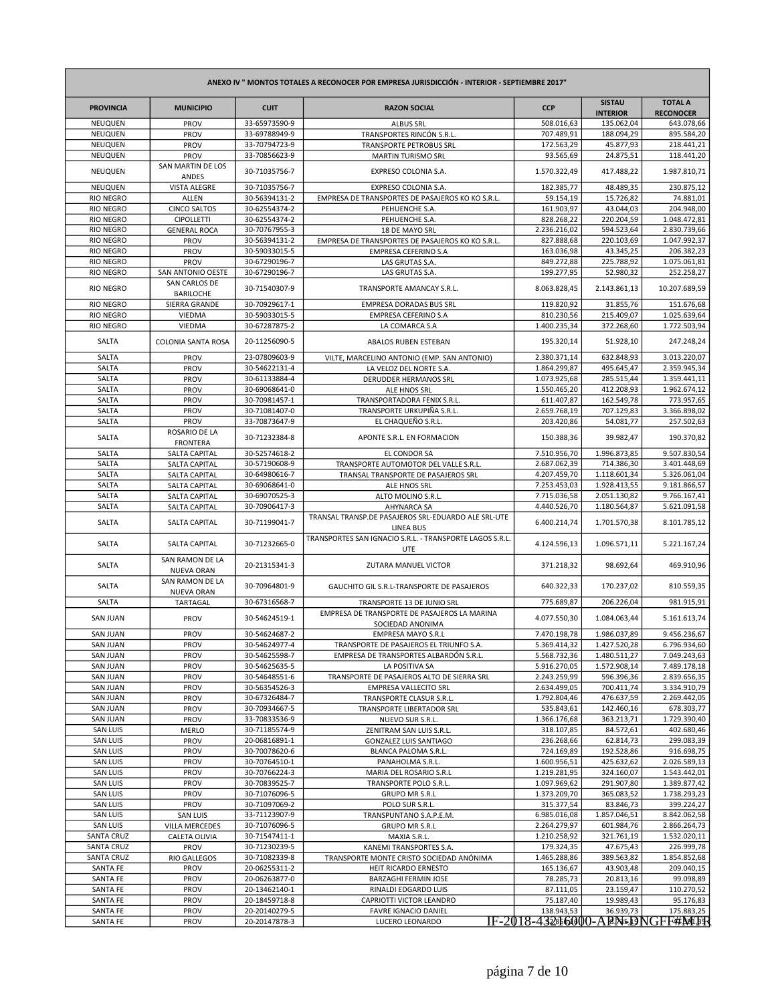| ANEXO IV " MONTOS TOTALES A RECONOCER POR EMPRESA JURISDICCIÓN - INTERIOR - SEPTIEMBRE 2017" |                                          |                                |                                                                         |                                   |                                  |                                    |
|----------------------------------------------------------------------------------------------|------------------------------------------|--------------------------------|-------------------------------------------------------------------------|-----------------------------------|----------------------------------|------------------------------------|
| <b>PROVINCIA</b>                                                                             | <b>MUNICIPIO</b>                         | <b>CUIT</b>                    | <b>RAZON SOCIAL</b>                                                     | <b>CCP</b>                        | <b>SISTAU</b><br><b>INTERIOR</b> | <b>TOTAL A</b><br><b>RECONOCER</b> |
| <b>NEUQUEN</b>                                                                               | PROV                                     | 33-65973590-9                  | <b>ALBUS SRL</b>                                                        | 508.016,63                        | 135.062,04                       | 643.078,66                         |
| <b>NEUQUEN</b><br>NEUQUEN                                                                    | PROV<br>PROV                             | 33-69788949-9<br>33-70794723-9 | TRANSPORTES RINCÓN S.R.L.<br>TRANSPORTE PETROBUS SRL                    | 707.489,91<br>172.563,29          | 188.094,29<br>45.877,93          | 895.584,20<br>218.441,21           |
| <b>NEUQUEN</b>                                                                               | PROV                                     | 33-70856623-9                  | MARTIN TURISMO SRL                                                      | 93.565,69                         | 24.875,51                        | 118.441,20                         |
| NEUQUEN                                                                                      | SAN MARTIN DE LOS<br>ANDES               | 30-71035756-7                  | EXPRESO COLONIA S.A.                                                    | 1.570.322,49                      | 417.488,22                       | 1.987.810,71                       |
| <b>NEUQUEN</b>                                                                               | <b>VISTA ALEGRE</b>                      | 30-71035756-7                  | EXPRESO COLONIA S.A.                                                    | 182.385,77                        | 48.489,35                        | 230.875,12                         |
| <b>RIO NEGRO</b>                                                                             | ALLEN                                    | 30-56394131-2                  | EMPRESA DE TRANSPORTES DE PASAJEROS KO KO S.R.L.                        | 59.154,19                         | 15.726,82                        | 74.881,01                          |
| <b>RIO NEGRO</b><br><b>RIO NEGRO</b>                                                         | <b>CINCO SALTOS</b><br><b>CIPOLLETTI</b> | 30-62554374-2<br>30-62554374-2 | PEHUENCHE S.A.<br>PEHUENCHE S.A.                                        | 161.903,97<br>828.268,22          | 43.044,03<br>220.204,59          | 204.948,00<br>1.048.472,81         |
| <b>RIO NEGRO</b>                                                                             | <b>GENERAL ROCA</b>                      | 30-70767955-3                  | 18 DE MAYO SRL                                                          | 2.236.216,02                      | 594.523,64                       | 2.830.739,66                       |
| <b>RIO NEGRO</b>                                                                             | PROV                                     | 30-56394131-2                  | EMPRESA DE TRANSPORTES DE PASAJEROS KO KO S.R.L.                        | 827.888,68                        | 220.103.69                       | 1.047.992,37                       |
| <b>RIO NEGRO</b>                                                                             | PROV                                     | 30-59033015-5                  | <b>EMPRESA CEFERINO S.A</b>                                             | 163.036,98                        | 43.345,25                        | 206.382,23                         |
| <b>RIO NEGRO</b>                                                                             | PROV                                     | 30-67290196-7                  | LAS GRUTAS S.A.                                                         | 849.272,88                        | 225.788,92                       | 1.075.061,81                       |
| <b>RIO NEGRO</b>                                                                             | SAN ANTONIO OESTE<br>SAN CARLOS DE       | 30-67290196-7                  | LAS GRUTAS S.A.                                                         | 199.277,95                        | 52.980,32                        | 252.258,27                         |
| <b>RIO NEGRO</b><br><b>RIO NEGRO</b>                                                         | <b>BARILOCHE</b><br>SIERRA GRANDE        | 30-71540307-9<br>30-70929617-1 | TRANSPORTE AMANCAY S.R.L.<br><b>EMPRESA DORADAS BUS SRL</b>             | 8.063.828,45<br>119.820,92        | 2.143.861,13<br>31.855,76        | 10.207.689,59<br>151.676,68        |
| <b>RIO NEGRO</b>                                                                             | VIEDMA                                   | 30-59033015-5                  | EMPRESA CEFERINO S.A                                                    | 810.230,56                        | 215.409,07                       | 1.025.639,64                       |
| <b>RIO NEGRO</b>                                                                             | VIEDMA                                   | 30-67287875-2                  | LA COMARCA S.A                                                          | 1.400.235,34                      | 372.268,60                       | 1.772.503,94                       |
| SALTA                                                                                        | COLONIA SANTA ROSA                       | 20-11256090-5                  | <b>ABALOS RUBEN ESTEBAN</b>                                             | 195.320,14                        | 51.928,10                        | 247.248,24                         |
| SALTA                                                                                        | PROV                                     | 23-07809603-9                  | VILTE, MARCELINO ANTONIO (EMP. SAN ANTONIO)                             | 2.380.371,14                      | 632.848,93                       | 3.013.220,07                       |
| SALTA                                                                                        | PROV                                     | 30-54622131-4                  | LA VELOZ DEL NORTE S.A.                                                 | 1.864.299,87                      | 495.645,47                       | 2.359.945,34                       |
| SALTA<br>SALTA                                                                               | PROV<br>PROV                             | 30-61133884-4<br>30-69068641-0 | <b>DERUDDER HERMANOS SRL</b><br>ALE HNOS SRL                            | 1.073.925,68<br>1.550.465,20      | 285.515,44<br>412.208,93         | 1.359.441,11<br>1.962.674,12       |
| SALTA                                                                                        | PROV                                     | 30-70981457-1                  | TRANSPORTADORA FENIX S.R.L.                                             | 611.407,87                        | 162.549,78                       | 773.957,65                         |
| SALTA                                                                                        | PROV                                     | 30-71081407-0                  | TRANSPORTE URKUPIÑA S.R.L.                                              | 2.659.768,19                      | 707.129,83                       | 3.366.898,02                       |
| SALTA                                                                                        | PROV                                     | 33-70873647-9                  | EL CHAQUEÑO S.R.L                                                       | 203.420,86                        | 54.081,77                        | 257.502,63                         |
| SALTA                                                                                        | ROSARIO DE LA<br><b>FRONTERA</b>         | 30-71232384-8                  | APONTE S.R.L. EN FORMACION                                              | 150.388,36                        | 39.982,47                        | 190.370,82                         |
| SALTA                                                                                        | <b>SALTA CAPITAL</b>                     | 30-52574618-2                  | EL CONDOR SA                                                            | 7.510.956,70                      | 1.996.873,85                     | 9.507.830,54                       |
| SALTA                                                                                        | <b>SALTA CAPITAL</b>                     | 30-57190608-9                  | TRANSPORTE AUTOMOTOR DEL VALLE S.R.L.                                   | 2.687.062,39                      | 714.386,30                       | 3.401.448,69                       |
| SALTA<br>SALTA                                                                               | <b>SALTA CAPITAL</b><br>SALTA CAPITAL    | 30-64980616-7<br>30-69068641-0 | TRANSAL TRANSPORTE DE PASAJEROS SRL<br>ALE HNOS SRL                     | 4.207.459,70<br>7.253.453,03      | 1.118.601,34<br>1.928.413,55     | 5.326.061,04<br>9.181.866,57       |
| SALTA                                                                                        | <b>SALTA CAPITAL</b>                     | 30-69070525-3                  | ALTO MOLINO S.R.L.                                                      | 7.715.036,58                      | 2.051.130,82                     | 9.766.167,41                       |
| SALTA                                                                                        | <b>SALTA CAPITAL</b>                     | 30-70906417-3                  | <b>AHYNARCA SA</b>                                                      | 4.440.526,70                      | 1.180.564,87                     | 5.621.091,58                       |
| SALTA                                                                                        | SALTA CAPITAL                            | 30-71199041-7                  | TRANSAL TRANSP.DE PASAJEROS SRL-EDUARDO ALE SRL-UTE<br><b>LINEA BUS</b> | 6.400.214,74                      | 1.701.570,38                     | 8.101.785,12                       |
| SALTA                                                                                        | SALTA CAPITAL                            | 30-71232665-0                  | TRANSPORTES SAN IGNACIO S.R.L. - TRANSPORTE LAGOS S.R.L.<br><b>UTE</b>  | 4.124.596,13                      | 1.096.571,11                     | 5.221.167,24                       |
| SALTA                                                                                        | SAN RAMON DE LA<br><b>NUEVA ORAN</b>     | 20-21315341-3                  | <b>ZUTARA MANUEL VICTOR</b>                                             | 371.218,32                        | 98.692,64                        | 469.910,96                         |
| SALTA                                                                                        | SAN RAMON DE LA<br><b>NUEVA ORAN</b>     | 30-70964801-9                  | GAUCHITO GIL S.R.L-TRANSPORTE DE PASAJEROS                              | 640.322,33                        | 170.237,02                       | 810.559,35                         |
| SALTA                                                                                        | TARTAGAL                                 | 30-67316568-7                  | TRANSPORTE 13 DE JUNIO SRL                                              | 775.689,87                        | 206.226,04                       | 981.915,91                         |
| <b>SAN JUAN</b>                                                                              | PROV                                     | 30-54624519-1                  | EMPRESA DE TRANSPORTE DE PASAJEROS LA MARINA<br>SOCIEDAD ANONIMA        | 4.077.550,30                      | 1.084.063,44                     | 5.161.613,74                       |
| <b>SAN JUAN</b>                                                                              | PROV                                     | 30-54624687-2                  | EMPRESA MAYO S.R.L                                                      | 7.470.198,78                      | 1.986.037,89                     | 9.456.236,67                       |
| <b>SAN JUAN</b>                                                                              | PROV                                     | 30-54624977-4                  | TRANSPORTE DE PASAJEROS EL TRIUNFO S.A.                                 | 5.369.414,32                      | 1.427.520,28                     | 6.796.934,60                       |
| <b>SAN JUAN</b><br><b>SAN JUAN</b>                                                           | PROV<br>PROV                             | 30-54625598-7<br>30-54625635-5 | EMPRESA DE TRANSPORTES ALBARDÓN S.R.L.<br>LA POSITIVA SA                | 5.568.732,36<br>5.916.270,05      | 1.480.511,27<br>1.572.908,14     | 7.049.243,63<br>7.489.178,18       |
| <b>SAN JUAN</b>                                                                              | PROV                                     | 30-54648551-6                  | TRANSPORTE DE PASAJEROS ALTO DE SIERRA SRL                              | 2.243.259,99                      | 596.396,36                       | 2.839.656,35                       |
| <b>SAN JUAN</b>                                                                              | PROV                                     | 30-56354526-3                  | <b>EMPRESA VALLECITO SRL</b>                                            | 2.634.499,05                      | 700.411,74                       | 3.334.910,79                       |
| <b>SAN JUAN</b>                                                                              | PROV                                     | 30-67326484-7                  | TRANSPORTE CLASUR S.R.L.                                                | 1.792.804,46                      | 476.637,59                       | 2.269.442,05                       |
| <b>SAN JUAN</b><br><b>SAN JUAN</b>                                                           | PROV<br>PROV                             | 30-70934667-5<br>33-70833536-9 | TRANSPORTE LIBERTADOR SRL<br>NUEVO SUR S.R.L.                           | 535.843,61<br>1.366.176,68        | 142.460,16<br>363.213,71         | 678.303,77<br>1.729.390,40         |
| <b>SAN LUIS</b>                                                                              | <b>MERLO</b>                             | 30-71185574-9                  | ZENITRAM SAN LUIS S.R.L.                                                | 318.107,85                        | 84.572,61                        | 402.680,46                         |
| <b>SAN LUIS</b>                                                                              | PROV                                     | 20-06816891-1                  | <b>GONZALEZ LUIS SANTIAGO</b>                                           | 236.268,66                        | 62.814,73                        | 299.083,39                         |
| <b>SAN LUIS</b>                                                                              | PROV                                     | 30-70078620-6                  | BLANCA PALOMA S.R.L.                                                    | 724.169,89                        | 192.528,86                       | 916.698,75                         |
| <b>SAN LUIS</b><br><b>SAN LUIS</b>                                                           | PROV                                     | 30-70764510-1<br>30-70766224-3 | PANAHOLMA S.R.L.<br>MARIA DEL ROSARIO S.R.L                             | 1.600.956,51<br>1.219.281,95      | 425.632,62<br>324.160,07         | 2.026.589,13<br>1.543.442,01       |
| <b>SAN LUIS</b>                                                                              | PROV<br>PROV                             | 30-70839525-7                  | TRANSPORTE POLO S.R.L.                                                  | 1.097.969,62                      | 291.907,80                       | 1.389.877,42                       |
| <b>SAN LUIS</b>                                                                              | PROV                                     | 30-71076096-5                  | <b>GRUPO MR S.R.L</b>                                                   | 1.373.209,70                      | 365.083,52                       | 1.738.293,23                       |
| <b>SAN LUIS</b>                                                                              | PROV                                     | 30-71097069-2                  | POLO SUR S.R.L.                                                         | 315.377,54                        | 83.846,73                        | 399.224,27                         |
| <b>SAN LUIS</b>                                                                              | <b>SAN LUIS</b>                          | 33-71123907-9                  | TRANSPUNTANO S.A.P.E.M.                                                 | 6.985.016,08                      | 1.857.046,51                     | 8.842.062,58                       |
| <b>SAN LUIS</b><br><b>SANTA CRUZ</b>                                                         | <b>VILLA MERCEDES</b><br>CALETA OLIVIA   | 30-71076096-5<br>30-71547411-1 | <b>GRUPO MR S.R.L</b><br>MAXIA S.R.L.                                   | 2.264.279,97<br>1.210.258,92      | 601.984,76<br>321.761,19         | 2.866.264,73<br>1.532.020,11       |
| <b>SANTA CRUZ</b>                                                                            | PROV                                     | 30-71230239-5                  | KANEMI TRANSPORTES S.A.                                                 | 179.324,35                        | 47.675,43                        | 226.999,78                         |
| <b>SANTA CRUZ</b>                                                                            | <b>RIO GALLEGOS</b>                      | 30-71082339-8                  | TRANSPORTE MONTE CRISTO SOCIEDAD ANÓNIMA                                | 1.465.288,86                      | 389.563,82                       | 1.854.852,68                       |
| SANTA FE                                                                                     | PROV                                     | 20-06255311-2                  | HEIT RICARDO ERNESTO                                                    | 165.136,67                        | 43.903,48                        | 209.040,15                         |
| SANTA FE<br>SANTA FE                                                                         | PROV<br>PROV                             | 20-06263877-0<br>20-13462140-1 | <b>BARZAGHI FERMIN JOSE</b><br>RINALDI EDGARDO LUIS                     | 78.285,73<br>87.111,05            | 20.813,16<br>23.159,47           | 99.098,89<br>110.270,52            |
| SANTA FE                                                                                     | PROV                                     | 20-18459718-8                  | CAPRIOTTI VICTOR LEANDRO                                                | 75.187,40                         | 19.989,43                        | 95.176,83                          |
| SANTA FE                                                                                     | PROV                                     | 20-20140279-5                  | <b>FAVRE IGNACIO DANIEL</b>                                             | 138.943,53                        | 36.939,73                        | 175.883,25                         |
| SANTA FE                                                                                     | PROV                                     | 20-20147878-3                  | LUCERO LEONARDO                                                         | IF-2018-432s56000-ABN5.DNGFF#MIBR |                                  |                                    |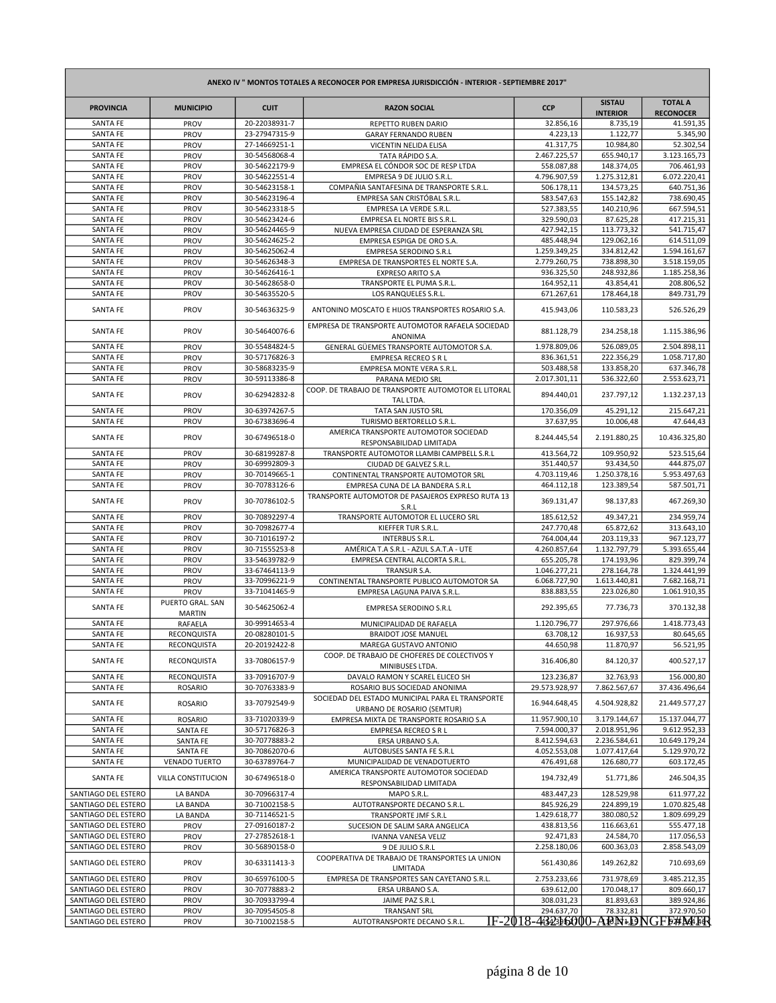| ANEXO IV " MONTOS TOTALES A RECONOCER POR EMPRESA JURISDICCIÓN - INTERIOR - SEPTIEMBRE 2017" |                                   |                                |                                                                                |                              |                                  |                                               |
|----------------------------------------------------------------------------------------------|-----------------------------------|--------------------------------|--------------------------------------------------------------------------------|------------------------------|----------------------------------|-----------------------------------------------|
| <b>PROVINCIA</b>                                                                             | <b>MUNICIPIO</b>                  | <b>CUIT</b>                    | <b>RAZON SOCIAL</b>                                                            | <b>CCP</b>                   | <b>SISTAU</b><br><b>INTERIOR</b> | <b>TOTAL A</b><br><b>RECONOCER</b>            |
| SANTA FE                                                                                     | PROV                              | 20-22038931-7                  | REPETTO RUBEN DARIO                                                            | 32.856,16                    | 8.735,19                         | 41.591,35                                     |
| SANTA FE                                                                                     | PROV                              | 23-27947315-9                  | <b>GARAY FERNANDO RUBEN</b>                                                    | 4.223,13                     | 1.122,77                         | 5.345,90                                      |
| <b>SANTA FE</b><br>SANTA FE                                                                  | PROV<br>PROV                      | 27-14669251-1<br>30-54568068-4 | VICENTIN NELIDA ELISA<br>TATA RÁPIDO S.A.                                      | 41.317,75<br>2.467.225,57    | 10.984,80<br>655.940,17          | 52.302,54<br>3.123.165,73                     |
| SANTA FE                                                                                     | PROV                              | 30-54622179-9                  | EMPRESA EL CÓNDOR SOC DE RESP LTDA                                             | 558.087,88                   | 148.374,05                       | 706.461,93                                    |
| SANTA FE                                                                                     | PROV                              | 30-54622551-4                  | EMPRESA 9 DE JULIO S.R.L.                                                      | 4.796.907,59                 | 1.275.312,81                     | 6.072.220,41                                  |
| SANTA FE                                                                                     | PROV                              | 30-54623158-1                  | COMPAÑIA SANTAFESINA DE TRANSPORTE S.R.L.                                      | 506.178,11                   | 134.573,25                       | 640.751,36                                    |
| SANTA FE                                                                                     | PROV                              | 30-54623196-4                  | EMPRESA SAN CRISTÓBAL S.R.L.                                                   | 583.547,63                   | 155.142,82                       | 738.690,45                                    |
| <b>SANTA FE</b>                                                                              | PROV                              | 30-54623318-5                  | EMPRESA LA VERDE S.R.L.                                                        | 527.383,55                   | 140.210,96                       | 667.594,51                                    |
| SANTA FE                                                                                     | PROV                              | 30-54623424-6                  | EMPRESA EL NORTE BIS S.R.L.                                                    | 329.590,03                   | 87.625,28                        | 417.215,31                                    |
| SANTA FE                                                                                     | PROV                              | 30-54624465-9                  | NUEVA EMPRESA CIUDAD DE ESPERANZA SRL                                          | 427.942,15                   | 113.773,32                       | 541.715,47                                    |
| <b>SANTA FE</b><br><b>SANTA FE</b>                                                           | PROV<br>PROV                      | 30-54624625-2<br>30-54625062-4 | EMPRESA ESPIGA DE ORO S.A.<br><b>EMPRESA SERODINO S.R.L</b>                    | 485.448,94<br>1.259.349,25   | 129.062,16<br>334.812,42         | 614.511,09<br>1.594.161,67                    |
| <b>SANTA FE</b>                                                                              | PROV                              | 30-54626348-3                  | EMPRESA DE TRANSPORTES EL NORTE S.A.                                           | 2.779.260,75                 | 738.898,30                       | 3.518.159,05                                  |
| SANTA FE                                                                                     | PROV                              | 30-54626416-1                  | <b>EXPRESO ARITO S.A</b>                                                       | 936.325,50                   | 248.932,86                       | 1.185.258,36                                  |
| SANTA FE                                                                                     | PROV                              | 30-54628658-0                  | TRANSPORTE EL PUMA S.R.L.                                                      | 164.952,11                   | 43.854,41                        | 208.806,52                                    |
| <b>SANTA FE</b>                                                                              | PROV                              | 30-54635520-5                  | LOS RANQUELES S.R.L.                                                           | 671.267,61                   | 178.464,18                       | 849.731,79                                    |
| SANTA FE                                                                                     | PROV                              | 30-54636325-9                  | ANTONINO MOSCATO E HIJOS TRANSPORTES ROSARIO S.A.                              | 415.943,06                   | 110.583,23                       | 526.526,29                                    |
| <b>SANTA FE</b>                                                                              | PROV                              | 30-54640076-6                  | EMPRESA DE TRANSPORTE AUTOMOTOR RAFAELA SOCIEDAD<br>ANONIMA                    | 881.128,79                   | 234.258,18                       | 1.115.386,96                                  |
| SANTA FE                                                                                     | PROV                              | 30-55484824-5                  | GENERAL GÜEMES TRANSPORTE AUTOMOTOR S.A.                                       | 1.978.809,06                 | 526.089,05                       | 2.504.898,11                                  |
| <b>SANTA FE</b>                                                                              | PROV                              | 30-57176826-3                  | <b>EMPRESA RECREO S R L</b>                                                    | 836.361,51                   | 222.356,29                       | 1.058.717,80                                  |
| SANTA FE                                                                                     | PROV                              | 30-58683235-9                  | EMPRESA MONTE VERA S.R.L.                                                      | 503.488,58                   | 133.858,20                       | 637.346,78                                    |
| SANTA FE                                                                                     | PROV                              | 30-59113386-8                  | PARANA MEDIO SRL                                                               | 2.017.301,11                 | 536.322,60                       | 2.553.623,71                                  |
| <b>SANTA FE</b>                                                                              | PROV                              | 30-62942832-8                  | COOP. DE TRABAJO DE TRANSPORTE AUTOMOTOR EL LITORAL<br>TAL LTDA.               | 894.440,01                   | 237.797,12                       | 1.132.237,13                                  |
| <b>SANTA FE</b>                                                                              | PROV                              | 30-63974267-5                  | TATA SAN JUSTO SRL                                                             | 170.356,09                   | 45.291,12                        | 215.647,21                                    |
| <b>SANTA FE</b>                                                                              | PROV                              | 30-67383696-4                  | TURISMO BERTORELLO S.R.L.<br>AMERICA TRANSPORTE AUTOMOTOR SOCIEDAD             | 37.637,95                    | 10.006,48                        | 47.644.43                                     |
| <b>SANTA FE</b>                                                                              | PROV                              | 30-67496518-0                  | RESPONSABILIDAD LIMITADA                                                       | 8.244.445,54                 | 2.191.880,25                     | 10.436.325,80                                 |
| SANTA FE<br><b>SANTA FE</b>                                                                  | PROV<br>PROV                      | 30-68199287-8<br>30-69992809-3 | TRANSPORTE AUTOMOTOR LLAMBI CAMPBELL S.R.L<br>CIUDAD DE GALVEZ S.R.L.          | 413.564,72<br>351.440,57     | 109.950,92<br>93.434,50          | 523.515,64<br>444.875,07                      |
| SANTA FE                                                                                     | PROV                              | 30-70149665-1                  | CONTINENTAL TRANSPORTE AUTOMOTOR SRL                                           | 4.703.119,46                 | 1.250.378,16                     | 5.953.497,63                                  |
| SANTA FE                                                                                     | PROV                              | 30-70783126-6                  | EMPRESA CUNA DE LA BANDERA S.R.L                                               | 464.112,18                   | 123.389,54                       | 587.501,71                                    |
| SANTA FE                                                                                     | PROV                              | 30-70786102-5                  | TRANSPORTE AUTOMOTOR DE PASAJEROS EXPRESO RUTA 13<br>S.R.L                     | 369.131,47                   | 98.137,83                        | 467.269,30                                    |
| <b>SANTA FE</b>                                                                              | PROV                              | 30-70892297-4                  | TRANSPORTE AUTOMOTOR EL LUCERO SRL                                             | 185.612,52                   | 49.347,21                        | 234.959,74                                    |
| SANTA FE                                                                                     | PROV                              | 30-70982677-4                  | KIEFFER TUR S.R.L.                                                             | 247.770,48                   | 65.872,62                        | 313.643,10                                    |
| SANTA FE                                                                                     | PROV                              | 30-71016197-2                  | INTERBUS S.R.L.                                                                | 764.004,44                   | 203.119,33                       | 967.123,77                                    |
| SANTA FE                                                                                     | PROV                              | 30-71555253-8                  | AMÉRICA T.A S.R.L - AZUL S.A.T.A - UTE                                         | 4.260.857,64                 | 1.132.797,79                     | 5.393.655,44                                  |
| <b>SANTA FE</b>                                                                              | PROV                              | 33-54639782-9                  | EMPRESA CENTRAL ALCORTA S.R.L.                                                 | 655.205,78                   | 174.193,96                       | 829.399,74                                    |
| <b>SANTA FE</b><br>SANTA FE                                                                  | PROV<br>PROV                      | 33-67464113-9<br>33-70996221-9 | TRANSUR S.A.<br>CONTINENTAL TRANSPORTE PUBLICO AUTOMOTOR SA                    | 1.046.277,21<br>6.068.727,90 | 278.164,78<br>1.613.440,81       | 1.324.441,99<br>7.682.168,71                  |
| SANTA FE                                                                                     | PROV                              | 33-71041465-9                  | EMPRESA LAGUNA PAIVA S.R.L.                                                    | 838.883,55                   | 223.026,80                       | 1.061.910,35                                  |
| SANTA FE                                                                                     | PUERTO GRAL. SAN<br><b>MARTIN</b> | 30-54625062-4                  | <b>EMPRESA SERODINO S.R.L</b>                                                  | 292.395,65                   | 77.736,73                        | 370.132,38                                    |
| <b>SANTA FE</b>                                                                              | RAFAELA                           | 30-99914653-4                  | MUNICIPALIDAD DE RAFAELA                                                       | 1.120.796,77                 | 297.976.66                       | 1.418.773,43                                  |
| SANTA FE                                                                                     | RECONQUISTA                       | 20-08280101-5                  | <b>BRAIDOT JOSE MANUEL</b>                                                     | 63.708,12                    | 16.937,53                        | 80.645,65                                     |
| SANTA FE                                                                                     | RECONQUISTA                       | 20-20192422-8                  | MAREGA GUSTAVO ANTONIO                                                         | 44.650,98                    | 11.870,97                        | 56.521,95                                     |
| SANTA FE                                                                                     | RECONQUISTA                       | 33-70806157-9                  | COOP. DE TRABAJO DE CHOFERES DE COLECTIVOS Y<br>MINIBUSES LTDA.                | 316.406,80                   | 84.120,37                        | 400.527,17                                    |
| SANTA FE                                                                                     | RECONQUISTA                       | 33-70916707-9                  | DAVALO RAMON Y SCAREL ELICEO SH                                                | 123.236,87                   | 32.763,93                        | 156.000,80                                    |
| SANTA FE                                                                                     | <b>ROSARIO</b>                    | 30-70763383-9                  | ROSARIO BUS SOCIEDAD ANONIMA                                                   | 29.573.928,97                | 7.862.567,67                     | 37.436.496,64                                 |
| SANTA FE                                                                                     | <b>ROSARIO</b>                    | 33-70792549-9                  | SOCIEDAD DEL ESTADO MUNICIPAL PARA EL TRANSPORTE<br>URBANO DE ROSARIO (SEMTUR) | 16.944.648,45                | 4.504.928,82                     | 21.449.577,27                                 |
| SANTA FE                                                                                     | <b>ROSARIO</b>                    | 33-71020339-9                  | EMPRESA MIXTA DE TRANSPORTE ROSARIO S.A                                        | 11.957.900,10                | 3.179.144,67                     | 15.137.044,77                                 |
| SANTA FE                                                                                     | SANTA FE                          | 30-57176826-3                  | <b>EMPRESA RECREO S R L</b>                                                    | 7.594.000,37                 | 2.018.951,96                     | 9.612.952,33                                  |
| SANTA FE                                                                                     | SANTA FE                          | 30-70778883-2                  | ERSA URBANO S.A.                                                               | 8.412.594,63                 | 2.236.584,61                     | 10.649.179,24                                 |
| SANTA FE                                                                                     | SANTA FE                          | 30-70862070-6                  | AUTOBUSES SANTA FE S.R.L                                                       | 4.052.553,08                 | 1.077.417,64                     | 5.129.970,72                                  |
| SANTA FE                                                                                     | <b>VENADO TUERTO</b>              | 30-63789764-7                  | MUNICIPALIDAD DE VENADOTUERTO<br>AMERICA TRANSPORTE AUTOMOTOR SOCIEDAD         | 476.491,68                   | 126.680,77                       | 603.172,45                                    |
| SANTA FE                                                                                     | VILLA CONSTITUCION                | 30-67496518-0                  | RESPONSABILIDAD LIMITADA                                                       | 194.732,49                   | 51.771,86                        | 246.504,35                                    |
| SANTIAGO DEL ESTERO                                                                          | LA BANDA                          | 30-70966317-4                  | MAPO S.R.L.                                                                    | 483.447,23                   | 128.529,98                       | 611.977,22                                    |
| SANTIAGO DEL ESTERO<br>SANTIAGO DEL ESTERO                                                   | LA BANDA<br>LA BANDA              | 30-71002158-5<br>30-71146521-5 | AUTOTRANSPORTE DECANO S.R.L.<br>TRANSPORTE JMF S.R.L                           | 845.926,29<br>1.429.618,77   | 224.899,19<br>380.080,52         | 1.070.825,48<br>1.809.699,29                  |
| SANTIAGO DEL ESTERO                                                                          | PROV                              | 27-09160187-2                  | SUCESION DE SALIM SARA ANGELICA                                                | 438.813,56                   | 116.663,61                       | 555.477,18                                    |
| SANTIAGO DEL ESTERO                                                                          | PROV                              | 27-27852618-1                  | IVANNA VANESA VELIZ                                                            | 92.471,83                    | 24.584,70                        | 117.056,53                                    |
| SANTIAGO DEL ESTERO                                                                          | PROV                              | 30-56890158-0                  | 9 DE JULIO S.R.L                                                               | 2.258.180,06                 | 600.363,03                       | 2.858.543,09                                  |
| SANTIAGO DEL ESTERO                                                                          | PROV                              | 30-63311413-3                  | COOPERATIVA DE TRABAJO DE TRANSPORTES LA UNION<br>LIMITADA                     | 561.430,86                   | 149.262,82                       | 710.693,69                                    |
| SANTIAGO DEL ESTERO                                                                          | PROV                              | 30-65976100-5                  | EMPRESA DE TRANSPORTES SAN CAYETANO S.R.L.                                     | 2.753.233,66                 | 731.978,69                       | 3.485.212,35                                  |
| SANTIAGO DEL ESTERO                                                                          | PROV                              | 30-70778883-2                  | ERSA URBANO S.A.                                                               | 639.612,00                   | 170.048,17                       | 809.660,17                                    |
| SANTIAGO DEL ESTERO                                                                          | PROV                              | 30-70933799-4                  | JAIME PAZ S.R.L                                                                | 308.031,23                   | 81.893,63                        | 389.924,86                                    |
| SANTIAGO DEL ESTERO                                                                          | PROV                              | 30-70954505-8                  | <b>TRANSANT SRL</b>                                                            | 294.637,70                   | 78.332,81                        | 372.970,50<br>IF-2018-4323b6000-ABN1DNGF5#MAR |
| SANTIAGO DEL ESTERO                                                                          | PROV                              | 30-71002158-5                  | AUTOTRANSPORTE DECANO S.R.L.                                                   |                              |                                  |                                               |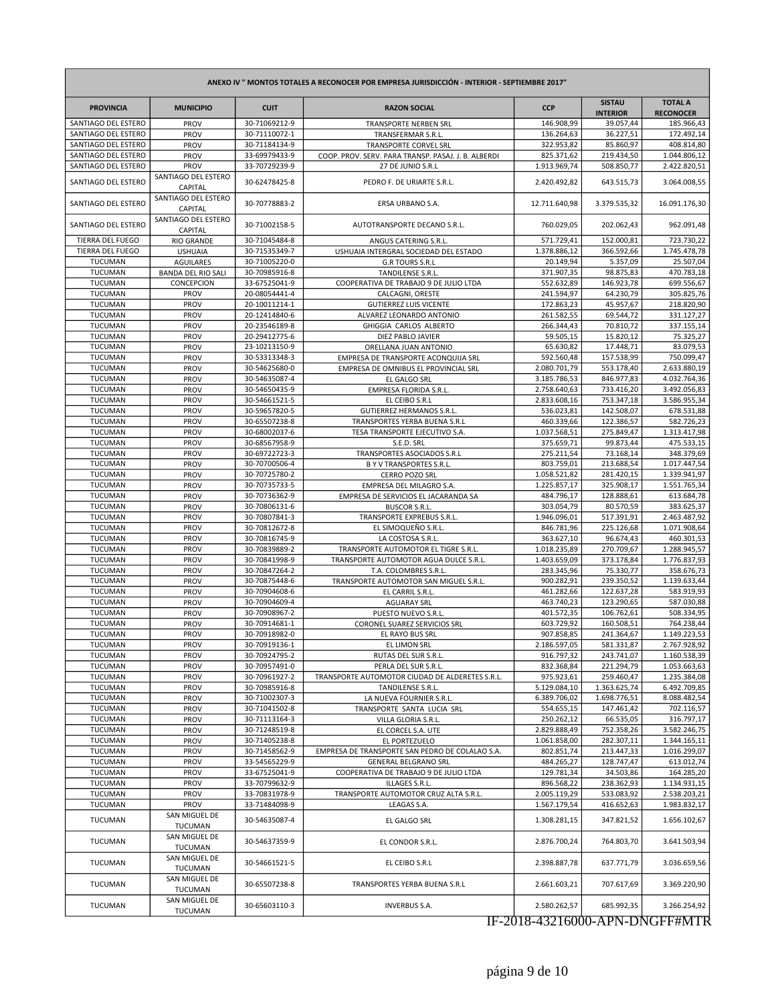| ANEXO IV " MONTOS TOTALES A RECONOCER POR EMPRESA JURISDICCIÓN - INTERIOR - SEPTIEMBRE 2017" |                                 |               |                                                     |               |                                  |                                    |
|----------------------------------------------------------------------------------------------|---------------------------------|---------------|-----------------------------------------------------|---------------|----------------------------------|------------------------------------|
| <b>PROVINCIA</b>                                                                             | <b>MUNICIPIO</b>                | <b>CUIT</b>   | <b>RAZON SOCIAL</b>                                 | <b>CCP</b>    | <b>SISTAU</b><br><b>INTERIOR</b> | <b>TOTAL A</b><br><b>RECONOCER</b> |
| SANTIAGO DEL ESTERO                                                                          | PROV                            | 30-71069212-9 | <b>TRANSPORTE NERBEN SRL</b>                        | 146.908,99    | 39.057,44                        | 185.966,43                         |
| SANTIAGO DEL ESTERO                                                                          | PROV                            | 30-71110072-1 | TRANSFERMAR S.R.L.                                  | 136.264,63    | 36.227,51                        | 172.492,14                         |
| SANTIAGO DEL ESTERO                                                                          | PROV                            | 30-71184134-9 | TRANSPORTE CORVEL SRL                               | 322.953,82    | 85.860,97                        | 408.814.80                         |
| SANTIAGO DEL ESTERO                                                                          | PROV                            | 33-69979433-9 | COOP. PROV. SERV. PARA TRANSP. PASAJ. J. B. ALBERDI | 825.371,62    | 219.434,50                       | 1.044.806,12                       |
| SANTIAGO DEL ESTERO                                                                          | PROV                            | 33-70729239-9 | 27 DE JUNIO S.R.L                                   | 1.913.969,74  | 508.850,77                       | 2.422.820,51                       |
| SANTIAGO DEL ESTERO                                                                          | SANTIAGO DEL ESTERO<br>CAPITAL  | 30-62478425-8 | PEDRO F. DE URIARTE S.R.L.                          | 2.420.492,82  | 643.515,73                       | 3.064.008,55                       |
| SANTIAGO DEL ESTERO                                                                          | SANTIAGO DEL ESTERO<br>CAPITAL  | 30-70778883-2 | ERSA URBANO S.A.                                    | 12.711.640,98 | 3.379.535,32                     | 16.091.176,30                      |
| SANTIAGO DEL ESTERO                                                                          | SANTIAGO DEL ESTERO<br>CAPITAL  | 30-71002158-5 | AUTOTRANSPORTE DECANO S.R.L.                        | 760.029.05    | 202.062,43                       | 962.091,48                         |
| <b>TIERRA DEL FUEGO</b>                                                                      | <b>RIO GRANDE</b>               | 30-71045484-8 | ANGUS CATERING S.R.L.                               | 571.729,41    | 152.000,81                       | 723.730,22                         |
| <b>TIERRA DEL FUEGO</b>                                                                      | <b>USHUAIA</b>                  | 30-71535349-7 | USHUAIA INTERGRAL SOCIEDAD DEL ESTADO               | 1.378.886,12  | 366.592,66                       | 1.745.478,78                       |
| <b>TUCUMAN</b>                                                                               | <b>AGUILARES</b>                | 30-71005220-0 | <b>G.R TOURS S.R.L</b>                              | 20.149,94     | 5.357,09                         | 25.507,04                          |
| <b>TUCUMAN</b>                                                                               | BANDA DEL RIO SALI              | 30-70985916-8 | TANDILENSE S.R.L.                                   | 371.907,35    | 98.875,83                        | 470.783,18                         |
| <b>TUCUMAN</b>                                                                               | CONCEPCION                      | 33-67525041-9 | COOPERATIVA DE TRABAJO 9 DE JULIO LTDA              | 552.632,89    | 146.923,78                       | 699.556,67                         |
| <b>TUCUMAN</b>                                                                               | PROV                            | 20-08054441-4 | CALCAGNI, ORESTE                                    | 241.594,97    | 64.230,79                        | 305.825,76                         |
| <b>TUCUMAN</b>                                                                               | PROV                            | 20-10011214-1 | <b>GUTIERREZ LUIS VICENTE</b>                       | 172.863,23    | 45.957,67                        | 218.820,90                         |
| <b>TUCUMAN</b>                                                                               | PROV                            | 20-12414840-6 | ALVAREZ LEONARDO ANTONIO                            | 261.582,55    | 69.544,72                        | 331.127,27                         |
| <b>TUCUMAN</b>                                                                               | PROV                            | 20-23546189-8 | GHIGGIA CARLOS ALBERTO                              | 266.344,43    | 70.810,72                        | 337.155,14                         |
| TUCUMAN                                                                                      | PROV                            | 20-29412775-6 | DIEZ PABLO JAVIER                                   | 59.505,15     | 15.820,12                        | 75.325,27                          |
| <b>TUCUMAN</b>                                                                               | PROV                            | 23-10213150-9 | ORELLANA JUAN ANTONIO                               | 65.630,82     | 17.448,71                        | 83.079,53                          |
| <b>TUCUMAN</b>                                                                               | PROV                            | 30-53313348-3 | EMPRESA DE TRANSPORTE ACONQUIJA SRL                 | 592.560,48    | 157.538,99                       | 750.099,47                         |
| <b>TUCUMAN</b>                                                                               | PROV                            | 30-54625680-0 | EMPRESA DE OMNIBUS EL PROVINCIAL SRL                | 2.080.701,79  | 553.178,40                       | 2.633.880,19                       |
| <b>TUCUMAN</b>                                                                               | PROV                            | 30-54635087-4 | EL GALGO SRL                                        | 3.185.786,53  | 846.977,83                       | 4.032.764,36                       |
| TUCUMAN                                                                                      | PROV                            | 30-54650435-9 | EMPRESA FLORIDA S.R.L.                              | 2.758.640,63  | 733.416,20                       | 3.492.056,83                       |
| <b>TUCUMAN</b>                                                                               | PROV                            | 30-54661521-5 | EL CEIBO S.R.L                                      | 2.833.608,16  | 753.347.18                       | 3.586.955,34                       |
| <b>TUCUMAN</b>                                                                               | PROV                            | 30-59657820-5 | <b>GUTIERREZ HERMANOS S.R.L.</b>                    | 536.023,81    | 142.508,07                       | 678.531,88                         |
| TUCUMAN                                                                                      | PROV                            | 30-65507238-8 | <b>TRANSPORTES YERBA BUENA S.R.L</b>                | 460.339,66    | 122.386,57                       | 582.726,23                         |
| <b>TUCUMAN</b>                                                                               | PROV                            | 30-68002037-6 | TESA TRANSPORTE EJECUTIVO S.A.                      | 1.037.568,51  | 275.849,47                       | 1.313.417,98                       |
| TUCUMAN                                                                                      | PROV                            | 30-68567958-9 | S.E.D. SRL                                          | 375.659,71    | 99.873,44                        | 475.533,15                         |
| <b>TUCUMAN</b>                                                                               | PROV                            | 30-69722723-3 | TRANSPORTES ASOCIADOS S.R.L                         | 275.211,54    | 73.168,14                        | 348.379,69                         |
| <b>TUCUMAN</b>                                                                               | PROV                            | 30-70700506-4 | B Y V TRANSPORTES S.R.L.                            | 803.759,01    | 213.688,54                       | 1.017.447,54                       |
| TUCUMAN                                                                                      | PROV                            | 30-70725780-2 | CERRO POZO SRL                                      | 1.058.521,82  | 281.420,15                       | 1.339.941,97                       |
| <b>TUCUMAN</b>                                                                               | PROV                            | 30-70735733-5 | EMPRESA DEL MILAGRO S.A.                            | 1.225.857,17  | 325.908,17                       | 1.551.765,34                       |
| TUCUMAN                                                                                      | PROV                            | 30-70736362-9 | EMPRESA DE SERVICIOS EL JACARANDA SA                | 484.796,17    | 128.888,61                       | 613.684,78                         |
| <b>TUCUMAN</b>                                                                               | PROV                            | 30-70806131-6 | <b>BUSCOR S.R.L.</b>                                | 303.054,79    | 80.570,59                        | 383.625,37                         |
| <b>TUCUMAN</b>                                                                               | PROV                            | 30-70807841-3 | TRANSPORTE EXPREBUS S.R.L.                          | 1.946.096,01  | 517.391,91                       | 2.463.487,92                       |
| TUCUMAN                                                                                      | PROV                            | 30-70812672-8 | EL SIMOQUEÑO S.R.L                                  | 846.781,96    | 225.126,68                       | 1.071.908,64                       |
| <b>TUCUMAN</b>                                                                               | PROV                            | 30-70816745-9 | LA COSTOSA S.R.L.                                   | 363.627,10    | 96.674,43                        | 460.301,53                         |
| TUCUMAN                                                                                      | PROV                            | 30-70839889-2 | TRANSPORTE AUTOMOTOR EL TIGRE S.R.L.                | 1.018.235,89  | 270.709,67                       | 1.288.945,57                       |
| <b>TUCUMAN</b>                                                                               | PROV                            | 30-70841998-9 | TRANSPORTE AUTOMOTOR AGUA DULCE S.R.L.              | 1.403.659,09  | 373.178,84                       | 1.776.837,93                       |
| <b>TUCUMAN</b>                                                                               | PROV                            | 30-70847264-2 | T.A. COLOMBRES S.R.L.                               | 283.345,96    | 75.330,77                        | 358.676,73                         |
| TUCUMAN                                                                                      | PROV                            | 30-70875448-6 | TRANSPORTE AUTOMOTOR SAN MIGUEL S.R.L               | 900.282,91    | 239.350,52                       | 1.139.633,44                       |
| <b>TUCUMAN</b>                                                                               | PROV                            | 30-70904608-6 | EL CARRIL S.R.L.                                    | 461.282,66    | 122.637,28                       | 583.919,93                         |
| TUCUMAN                                                                                      | PROV                            | 30-70904609-4 | <b>AGUARAY SRL</b>                                  | 463.740,23    | 123.290,65                       | 587.030,88                         |
| <b>TUCUMAN</b>                                                                               | PROV                            | 30-70908967-2 | PUESTO NUEVO S.R.L.                                 | 401.572,35    | 106.762,61                       | 508.334,95                         |
| <b>TUCUMAN</b>                                                                               | PROV                            | 30-70914681-1 | CORONEL SUAREZ SERVICIOS SRL                        | 603.729,92    | 160.508,51                       | 764.238,44                         |
| TUCUMAN                                                                                      | PROV                            | 30-70918982-0 | EL RAYO BUS SRL                                     | 907.858,85    | 241.364,67                       | 1.149.223,53                       |
| TUCUMAN                                                                                      | PROV                            | 30-70919136-1 | <b>EL LIMON SRL</b>                                 | 2.186.597,05  | 581.331,87                       | 2.767.928,92                       |
| TUCUMAN                                                                                      | PROV                            | 30-70924795-2 | RUTAS DEL SUR S.R.L.                                | 916.797,32    | 243.741,07                       | 1.160.538,39                       |
| <b>TUCUMAN</b>                                                                               | PROV                            | 30-70957491-0 | PERLA DEL SUR S.R.L.                                | 832.368,84    | 221.294,79                       | 1.053.663,63                       |
| <b>TUCUMAN</b>                                                                               | PROV                            | 30-70961927-2 | TRANSPORTE AUTOMOTOR CIUDAD DE ALDERETES S.R.L.     | 975.923,61    | 259.460,47                       | 1.235.384,08                       |
| TUCUMAN                                                                                      | PROV                            | 30-70985916-8 | TANDILENSE S.R.L.                                   | 5.129.084,10  | 1.363.625,74                     | 6.492.709,85                       |
| TUCUMAN                                                                                      | PROV                            | 30-71002307-3 | LA NUEVA FOURNIER S.R.L.                            | 6.389.706,02  | 1.698.776,51                     | 8.088.482,54                       |
| TUCUMAN                                                                                      | <b>PROV</b>                     | 30-71041502-8 | TRANSPORTE SANTA LUCIA SRL                          | 554.655,15    | 147.461,42                       | 702.116,57                         |
| TUCUMAN                                                                                      | PROV                            | 30-71113164-3 | VILLA GLORIA S.R.L.                                 | 250.262,12    | 66.535,05                        | 316.797,17                         |
| <b>TUCUMAN</b>                                                                               | PROV                            | 30-71248519-8 | EL CORCEL S.A. UTE                                  | 2.829.888,49  | 752.358,26                       | 3.582.246,75                       |
| <b>TUCUMAN</b>                                                                               | PROV                            | 30-71405238-8 | EL PORTEZUELO                                       | 1.061.858,00  | 282.307,11                       | 1.344.165,11                       |
| TUCUMAN                                                                                      | PROV                            | 30-71458562-9 | EMPRESA DE TRANSPORTE SAN PEDRO DE COLALAO S.A.     | 802.851,74    | 213.447,33                       | 1.016.299,07                       |
| TUCUMAN                                                                                      | <b>PROV</b>                     | 33-54565229-9 | <b>GENERAL BELGRANO SRL</b>                         | 484.265,27    | 128.747,47                       | 613.012,74                         |
| TUCUMAN                                                                                      | PROV                            | 33-67525041-9 | COOPERATIVA DE TRABAJO 9 DE JULIO LTDA              | 129.781,34    | 34.503,86                        | 164.285,20                         |
| <b>TUCUMAN</b>                                                                               | PROV                            | 33-70799632-9 | ILLAGES S.R.L.                                      | 896.568,22    | 238.362,93                       | 1.134.931,15                       |
| TUCUMAN                                                                                      | PROV                            | 33-70831978-9 | TRANSPORTE AUTOMOTOR CRUZ ALTA S.R.L.               | 2.005.119,29  | 533.083,92                       | 2.538.203,21                       |
| TUCUMAN                                                                                      | PROV                            | 33-71484098-9 | LEAGAS S.A.                                         | 1.567.179,54  | 416.652,63                       | 1.983.832,17                       |
|                                                                                              | SAN MIGUEL DE                   |               |                                                     |               |                                  |                                    |
| TUCUMAN                                                                                      | TUCUMAN                         | 30-54635087-4 | EL GALGO SRL                                        | 1.308.281,15  | 347.821,52                       | 1.656.102,67                       |
| TUCUMAN                                                                                      | SAN MIGUEL DE<br>TUCUMAN        | 30-54637359-9 | EL CONDOR S.R.L.                                    | 2.876.700,24  | 764.803,70                       | 3.641.503,94                       |
| <b>TUCUMAN</b>                                                                               | SAN MIGUEL DE<br>TUCUMAN        | 30-54661521-5 | EL CEIBO S.R.L                                      | 2.398.887,78  | 637.771,79                       | 3.036.659,56                       |
| <b>TUCUMAN</b>                                                                               | SAN MIGUEL DE<br><b>TUCUMAN</b> | 30-65507238-8 | TRANSPORTES YERBA BUENA S.R.L                       | 2.661.603,21  | 707.617,69                       | 3.369.220,90                       |
| <b>TUCUMAN</b>                                                                               | SAN MIGUEL DE<br>TUCUMAN        | 30-65603110-3 | <b>INVERBUS S.A.</b>                                | 2.580.262,57  | 685.992,35                       | 3.266.254,92                       |

## IF-2018-43216000-APN-DNGFF#MTR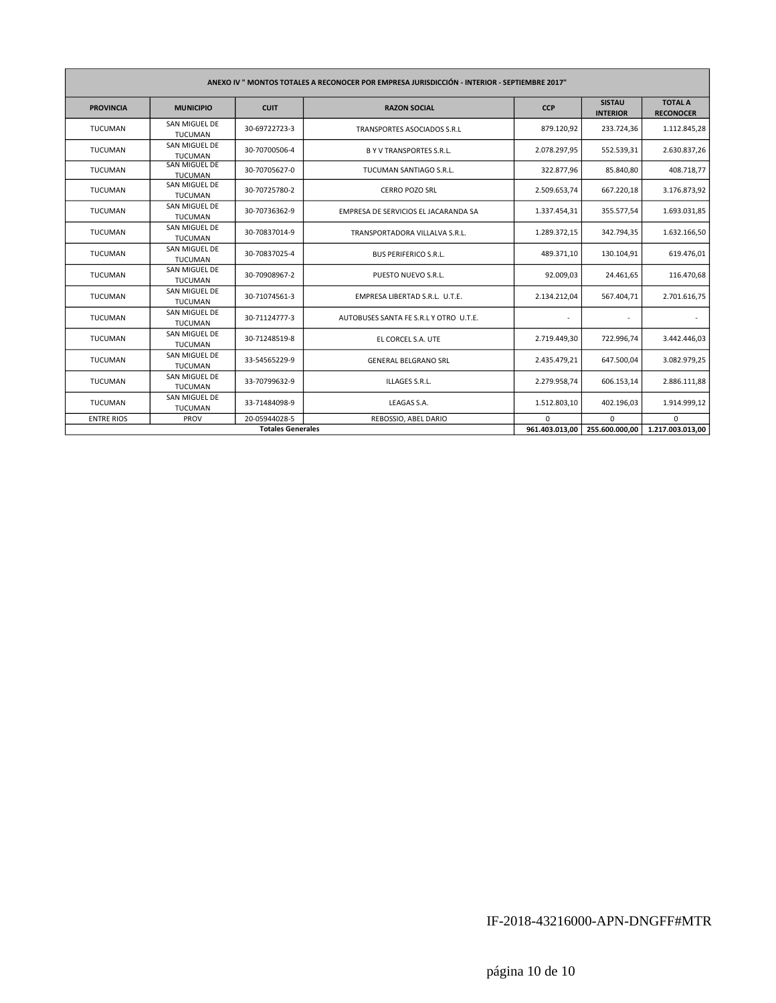| ANEXO IV " MONTOS TOTALES A RECONOCER POR EMPRESA JURISDICCIÓN - INTERIOR - SEPTIEMBRE 2017" |                                        |                          |                                        |                |                                  |                                    |  |
|----------------------------------------------------------------------------------------------|----------------------------------------|--------------------------|----------------------------------------|----------------|----------------------------------|------------------------------------|--|
| <b>PROVINCIA</b>                                                                             | <b>MUNICIPIO</b>                       | <b>CUIT</b>              | <b>RAZON SOCIAL</b>                    | <b>CCP</b>     | <b>SISTAU</b><br><b>INTERIOR</b> | <b>TOTAL A</b><br><b>RECONOCER</b> |  |
| <b>TUCUMAN</b>                                                                               | SAN MIGUEL DE<br><b>TUCUMAN</b>        | 30-69722723-3            | TRANSPORTES ASOCIADOS S.R.L            | 879.120,92     | 233.724,36                       | 1.112.845,28                       |  |
| <b>TUCUMAN</b>                                                                               | SAN MIGUEL DE<br><b>TUCUMAN</b>        | 30-70700506-4            | <b>B Y V TRANSPORTES S.R.L.</b>        | 2.078.297,95   | 552.539,31                       | 2.630.837,26                       |  |
| <b>TUCUMAN</b>                                                                               | <b>SAN MIGUEL DE</b><br><b>TUCUMAN</b> | 30-70705627-0            | TUCUMAN SANTIAGO S.R.L.                | 322.877,96     | 85.840,80                        | 408.718,77                         |  |
| <b>TUCUMAN</b>                                                                               | SAN MIGUEL DE<br><b>TUCUMAN</b>        | 30-70725780-2            | <b>CERRO POZO SRL</b>                  | 2.509.653,74   | 667.220,18                       | 3.176.873,92                       |  |
| <b>TUCUMAN</b>                                                                               | SAN MIGUEL DE<br><b>TUCUMAN</b>        | 30-70736362-9            | EMPRESA DE SERVICIOS EL JACARANDA SA   | 1.337.454,31   | 355.577,54                       | 1.693.031,85                       |  |
| <b>TUCUMAN</b>                                                                               | SAN MIGUEL DE<br><b>TUCUMAN</b>        | 30-70837014-9            | TRANSPORTADORA VILLALVA S.R.L.         | 1.289.372,15   | 342.794,35                       | 1.632.166,50                       |  |
| <b>TUCUMAN</b>                                                                               | SAN MIGUEL DE<br><b>TUCUMAN</b>        | 30-70837025-4            | <b>BUS PERIFERICO S.R.L.</b>           | 489.371,10     | 130.104,91                       | 619.476,01                         |  |
| <b>TUCUMAN</b>                                                                               | SAN MIGUEL DE<br><b>TUCUMAN</b>        | 30-70908967-2            | PUESTO NUEVO S.R.L.                    | 92.009,03      | 24.461,65                        | 116.470,68                         |  |
| <b>TUCUMAN</b>                                                                               | SAN MIGUEL DE<br><b>TUCUMAN</b>        | 30-71074561-3            | EMPRESA LIBERTAD S.R.L. U.T.E.         | 2.134.212,04   | 567.404,71                       | 2.701.616,75                       |  |
| <b>TUCUMAN</b>                                                                               | SAN MIGUEL DE<br><b>TUCUMAN</b>        | 30-71124777-3            | AUTOBUSES SANTA FE S.R.L Y OTRO U.T.E. |                |                                  |                                    |  |
| <b>TUCUMAN</b>                                                                               | SAN MIGUEL DE<br><b>TUCUMAN</b>        | 30-71248519-8            | EL CORCEL S.A. UTE                     | 2.719.449,30   | 722.996,74                       | 3.442.446,03                       |  |
| <b>TUCUMAN</b>                                                                               | SAN MIGUEL DE<br><b>TUCUMAN</b>        | 33-54565229-9            | <b>GENERAL BELGRANO SRL</b>            | 2.435.479,21   | 647.500,04                       | 3.082.979,25                       |  |
| <b>TUCUMAN</b>                                                                               | SAN MIGUEL DE<br><b>TUCUMAN</b>        | 33-70799632-9            | ILLAGES S.R.L.                         | 2.279.958,74   | 606.153,14                       | 2.886.111,88                       |  |
| <b>TUCUMAN</b>                                                                               | SAN MIGUEL DE<br><b>TUCUMAN</b>        | 33-71484098-9            | LEAGAS S.A.                            | 1.512.803,10   | 402.196,03                       | 1.914.999,12                       |  |
| <b>ENTRE RIOS</b>                                                                            | PROV                                   | 20-05944028-5            | REBOSSIO, ABEL DARIO                   | $\Omega$       | $\Omega$                         | <sup>0</sup>                       |  |
|                                                                                              |                                        | <b>Totales Generales</b> |                                        | 961.403.013,00 | 255.600.000,00                   | 1.217.003.013,00                   |  |

## IF-2018-43216000-APN-DNGFF#MTR